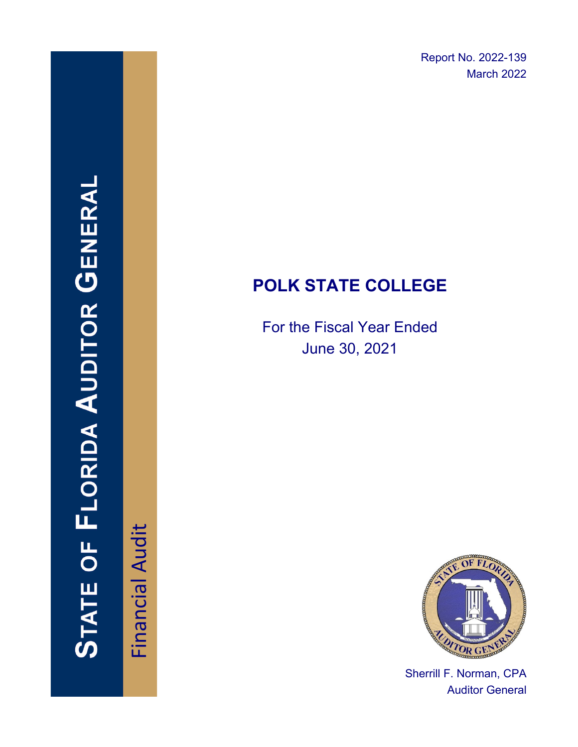Report No. 2022-139 March 2022

## **POLK STATE COLLEGE**

For the Fiscal Year Ended June 30, 2021



Sherrill F. Norman, CPA Auditor General

Financial Audit Financial Audit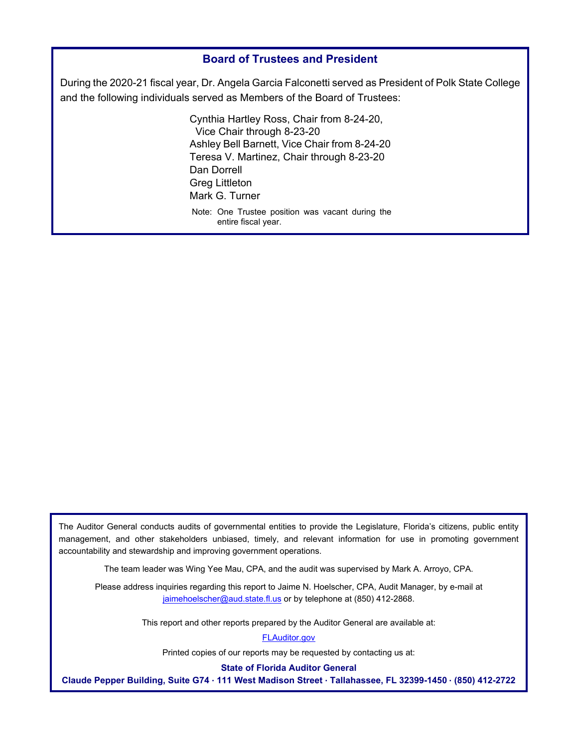#### **Board of Trustees and President**

During the 2020-21 fiscal year, Dr. Angela Garcia Falconetti served as President of Polk State College and the following individuals served as Members of the Board of Trustees:

> Cynthia Hartley Ross, Chair from 8-24-20, Vice Chair through 8-23-20 Ashley Bell Barnett, Vice Chair from 8-24-20 Teresa V. Martinez, Chair through 8-23-20 Dan Dorrell Greg Littleton Mark G. Turner Note: One Trustee position was vacant during the

entire fiscal year.

The Auditor General conducts audits of governmental entities to provide the Legislature, Florida's citizens, public entity management, and other stakeholders unbiased, timely, and relevant information for use in promoting government accountability and stewardship and improving government operations.

The team leader was Wing Yee Mau, CPA, and the audit was supervised by Mark A. Arroyo, CPA.

Please address inquiries regarding this report to Jaime N. Hoelscher, CPA, Audit Manager, by e-mail at jaimehoelscher@aud.state.fl.us or by telephone at (850) 412-2868.

This report and other reports prepared by the Auditor General are available at:

[FLAuditor.gov](http://flauditor.gov/) 

Printed copies of our reports may be requested by contacting us at:

**State of Florida Auditor General** 

**Claude Pepper Building, Suite G74 · 111 West Madison Street · Tallahassee, FL 32399-1450 · (850) 412-2722**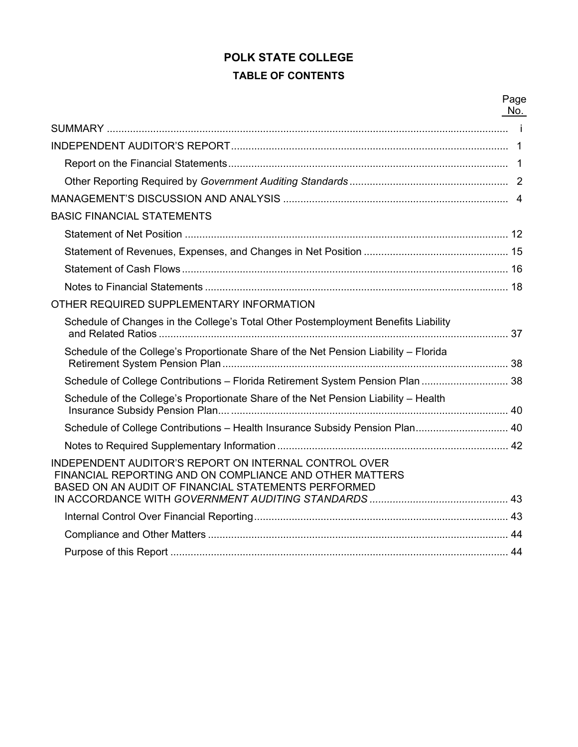### **POLK STATE COLLEGE TABLE OF CONTENTS**

|                                                                                                                                                                         | Page<br><u>No.</u> |
|-------------------------------------------------------------------------------------------------------------------------------------------------------------------------|--------------------|
|                                                                                                                                                                         |                    |
|                                                                                                                                                                         |                    |
|                                                                                                                                                                         |                    |
|                                                                                                                                                                         |                    |
|                                                                                                                                                                         |                    |
| <b>BASIC FINANCIAL STATEMENTS</b>                                                                                                                                       |                    |
|                                                                                                                                                                         |                    |
|                                                                                                                                                                         |                    |
|                                                                                                                                                                         |                    |
|                                                                                                                                                                         |                    |
| OTHER REQUIRED SUPPLEMENTARY INFORMATION                                                                                                                                |                    |
| Schedule of Changes in the College's Total Other Postemployment Benefits Liability                                                                                      |                    |
| Schedule of the College's Proportionate Share of the Net Pension Liability - Florida                                                                                    |                    |
| Schedule of College Contributions - Florida Retirement System Pension Plan  38                                                                                          |                    |
| Schedule of the College's Proportionate Share of the Net Pension Liability - Health                                                                                     |                    |
| Schedule of College Contributions - Health Insurance Subsidy Pension Plan 40                                                                                            |                    |
|                                                                                                                                                                         |                    |
| INDEPENDENT AUDITOR'S REPORT ON INTERNAL CONTROL OVER<br>FINANCIAL REPORTING AND ON COMPLIANCE AND OTHER MATTERS<br>BASED ON AN AUDIT OF FINANCIAL STATEMENTS PERFORMED |                    |
|                                                                                                                                                                         |                    |
|                                                                                                                                                                         |                    |
|                                                                                                                                                                         |                    |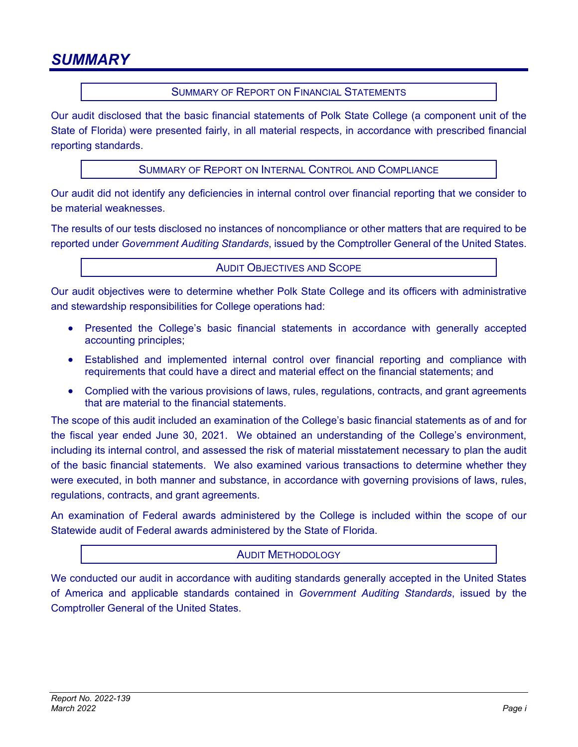#### SUMMARY OF REPORT ON FINANCIAL STATEMENTS

<span id="page-3-0"></span>Our audit disclosed that the basic financial statements of Polk State College (a component unit of the State of Florida) were presented fairly, in all material respects, in accordance with prescribed financial reporting standards.

#### SUMMARY OF REPORT ON INTERNAL CONTROL AND COMPLIANCE

Our audit did not identify any deficiencies in internal control over financial reporting that we consider to be material weaknesses.

The results of our tests disclosed no instances of noncompliance or other matters that are required to be reported under *Government Auditing Standards*, issued by the Comptroller General of the United States.

#### AUDIT OBJECTIVES AND SCOPE

Our audit objectives were to determine whether Polk State College and its officers with administrative and stewardship responsibilities for College operations had:

- Presented the College's basic financial statements in accordance with generally accepted accounting principles;
- Established and implemented internal control over financial reporting and compliance with requirements that could have a direct and material effect on the financial statements; and
- Complied with the various provisions of laws, rules, regulations, contracts, and grant agreements that are material to the financial statements.

The scope of this audit included an examination of the College's basic financial statements as of and for the fiscal year ended June 30, 2021. We obtained an understanding of the College's environment, including its internal control, and assessed the risk of material misstatement necessary to plan the audit of the basic financial statements. We also examined various transactions to determine whether they were executed, in both manner and substance, in accordance with governing provisions of laws, rules, regulations, contracts, and grant agreements.

An examination of Federal awards administered by the College is included within the scope of our Statewide audit of Federal awards administered by the State of Florida.

#### AUDIT METHODOLOGY

We conducted our audit in accordance with auditing standards generally accepted in the United States of America and applicable standards contained in *Government Auditing Standards*, issued by the Comptroller General of the United States.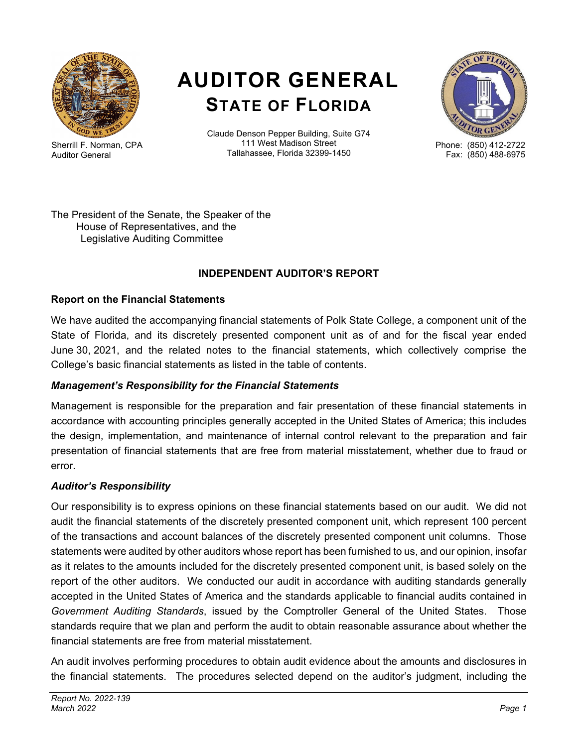<span id="page-4-0"></span>

Sherrill F. Norman, CPA Auditor General

# **AUDITOR GENERAL STATE OF FLORIDA**

Claude Denson Pepper Building, Suite G74 111 West Madison Street Tallahassee, Florida 32399-1450



Phone: (850) 412-2722 Fax: (850) 488-6975

The President of the Senate, the Speaker of the House of Representatives, and the Legislative Auditing Committee

### **INDEPENDENT AUDITOR'S REPORT**

#### **Report on the Financial Statements**

We have audited the accompanying financial statements of Polk State College, a component unit of the State of Florida, and its discretely presented component unit as of and for the fiscal year ended June 30, 2021, and the related notes to the financial statements, which collectively comprise the College's basic financial statements as listed in the table of contents.

#### *Management's Responsibility for the Financial Statements*

Management is responsible for the preparation and fair presentation of these financial statements in accordance with accounting principles generally accepted in the United States of America; this includes the design, implementation, and maintenance of internal control relevant to the preparation and fair presentation of financial statements that are free from material misstatement, whether due to fraud or error.

### *Auditor's Responsibility*

Our responsibility is to express opinions on these financial statements based on our audit. We did not audit the financial statements of the discretely presented component unit, which represent 100 percent of the transactions and account balances of the discretely presented component unit columns. Those statements were audited by other auditors whose report has been furnished to us, and our opinion, insofar as it relates to the amounts included for the discretely presented component unit, is based solely on the report of the other auditors. We conducted our audit in accordance with auditing standards generally accepted in the United States of America and the standards applicable to financial audits contained in *Government Auditing Standards*, issued by the Comptroller General of the United States. Those standards require that we plan and perform the audit to obtain reasonable assurance about whether the financial statements are free from material misstatement.

An audit involves performing procedures to obtain audit evidence about the amounts and disclosures in the financial statements. The procedures selected depend on the auditor's judgment, including the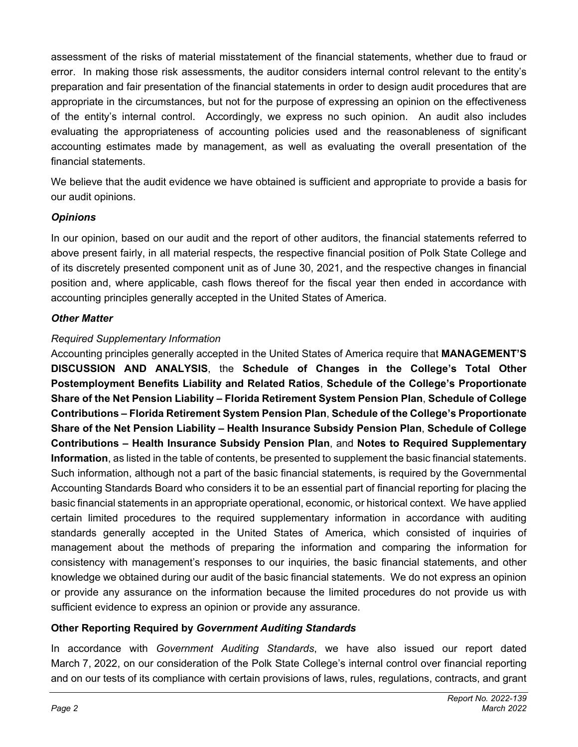<span id="page-5-0"></span>assessment of the risks of material misstatement of the financial statements, whether due to fraud or error. In making those risk assessments, the auditor considers internal control relevant to the entity's preparation and fair presentation of the financial statements in order to design audit procedures that are appropriate in the circumstances, but not for the purpose of expressing an opinion on the effectiveness of the entity's internal control. Accordingly, we express no such opinion. An audit also includes evaluating the appropriateness of accounting policies used and the reasonableness of significant accounting estimates made by management, as well as evaluating the overall presentation of the financial statements.

We believe that the audit evidence we have obtained is sufficient and appropriate to provide a basis for our audit opinions.

### *Opinions*

In our opinion, based on our audit and the report of other auditors, the financial statements referred to above present fairly, in all material respects, the respective financial position of Polk State College and of its discretely presented component unit as of June 30, 2021, and the respective changes in financial position and, where applicable, cash flows thereof for the fiscal year then ended in accordance with accounting principles generally accepted in the United States of America.

### *Other Matter*

### *Required Supplementary Information*

Accounting principles generally accepted in the United States of America require that **MANAGEMENT'S DISCUSSION AND ANALYSIS**, the **Schedule of Changes in the College's Total Other Postemployment Benefits Liability and Related Ratios**, **Schedule of the College's Proportionate Share of the Net Pension Liability – Florida Retirement System Pension Plan**, **Schedule of College Contributions – Florida Retirement System Pension Plan**, **Schedule of the College's Proportionate Share of the Net Pension Liability – Health Insurance Subsidy Pension Plan**, **Schedule of College Contributions – Health Insurance Subsidy Pension Plan**, and **Notes to Required Supplementary Information**, as listed in the table of contents, be presented to supplement the basic financial statements. Such information, although not a part of the basic financial statements, is required by the Governmental Accounting Standards Board who considers it to be an essential part of financial reporting for placing the basic financial statements in an appropriate operational, economic, or historical context. We have applied certain limited procedures to the required supplementary information in accordance with auditing standards generally accepted in the United States of America, which consisted of inquiries of management about the methods of preparing the information and comparing the information for consistency with management's responses to our inquiries, the basic financial statements, and other knowledge we obtained during our audit of the basic financial statements. We do not express an opinion or provide any assurance on the information because the limited procedures do not provide us with sufficient evidence to express an opinion or provide any assurance.

#### **Other Reporting Required by** *Government Auditing Standards*

In accordance with *Government Auditing Standards*, we have also issued our report dated March 7, 2022, on our consideration of the Polk State College's internal control over financial reporting and on our tests of its compliance with certain provisions of laws, rules, regulations, contracts, and grant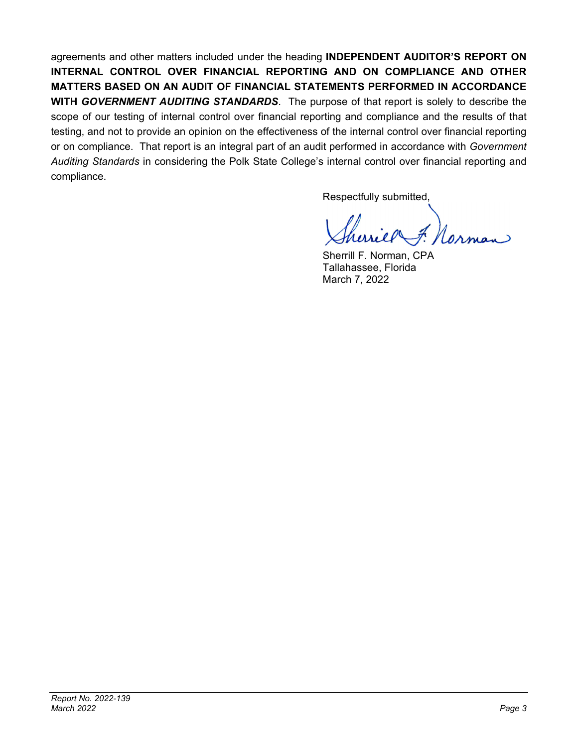agreements and other matters included under the heading **INDEPENDENT AUDITOR'S REPORT ON INTERNAL CONTROL OVER FINANCIAL REPORTING AND ON COMPLIANCE AND OTHER MATTERS BASED ON AN AUDIT OF FINANCIAL STATEMENTS PERFORMED IN ACCORDANCE WITH** *GOVERNMENT AUDITING STANDARDS*. The purpose of that report is solely to describe the scope of our testing of internal control over financial reporting and compliance and the results of that testing, and not to provide an opinion on the effectiveness of the internal control over financial reporting or on compliance. That report is an integral part of an audit performed in accordance with *Government Auditing Standards* in considering the Polk State College's internal control over financial reporting and compliance.

Respectfully submitted,

Sherrill F. Norman, CPA Tallahassee, Florida March 7, 2022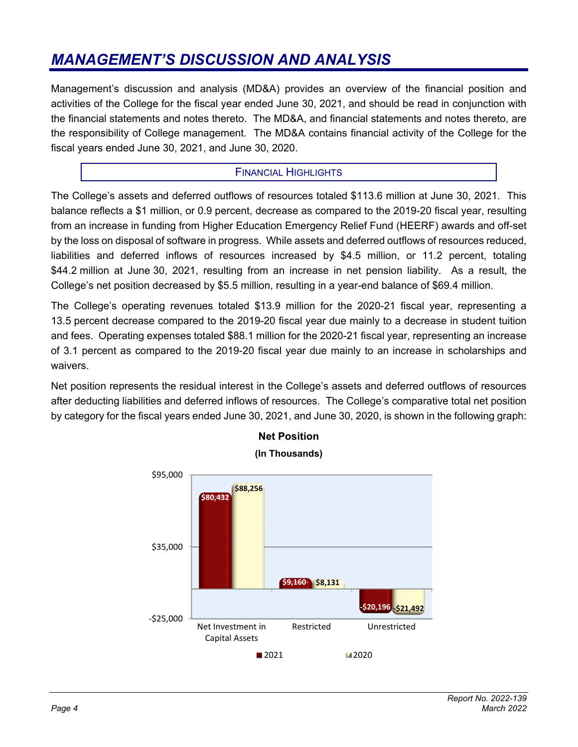## <span id="page-7-0"></span>*MANAGEMENT'S DISCUSSION AND ANALYSIS*

Management's discussion and analysis (MD&A) provides an overview of the financial position and activities of the College for the fiscal year ended June 30, 2021, and should be read in conjunction with the financial statements and notes thereto. The MD&A, and financial statements and notes thereto, are the responsibility of College management. The MD&A contains financial activity of the College for the fiscal years ended June 30, 2021, and June 30, 2020.

### FINANCIAL HIGHLIGHTS

The College's assets and deferred outflows of resources totaled \$113.6 million at June 30, 2021. This balance reflects a \$1 million, or 0.9 percent, decrease as compared to the 2019-20 fiscal year, resulting from an increase in funding from Higher Education Emergency Relief Fund (HEERF) awards and off-set by the loss on disposal of software in progress. While assets and deferred outflows of resources reduced, liabilities and deferred inflows of resources increased by \$4.5 million, or 11.2 percent, totaling \$44.2 million at June 30, 2021, resulting from an increase in net pension liability. As a result, the College's net position decreased by \$5.5 million, resulting in a year-end balance of \$69.4 million.

The College's operating revenues totaled \$13.9 million for the 2020-21 fiscal year, representing a 13.5 percent decrease compared to the 2019-20 fiscal year due mainly to a decrease in student tuition and fees. Operating expenses totaled \$88.1 million for the 2020-21 fiscal year, representing an increase of 3.1 percent as compared to the 2019-20 fiscal year due mainly to an increase in scholarships and waivers.

Net position represents the residual interest in the College's assets and deferred outflows of resources after deducting liabilities and deferred inflows of resources. The College's comparative total net position by category for the fiscal years ended June 30, 2021, and June 30, 2020, is shown in the following graph:



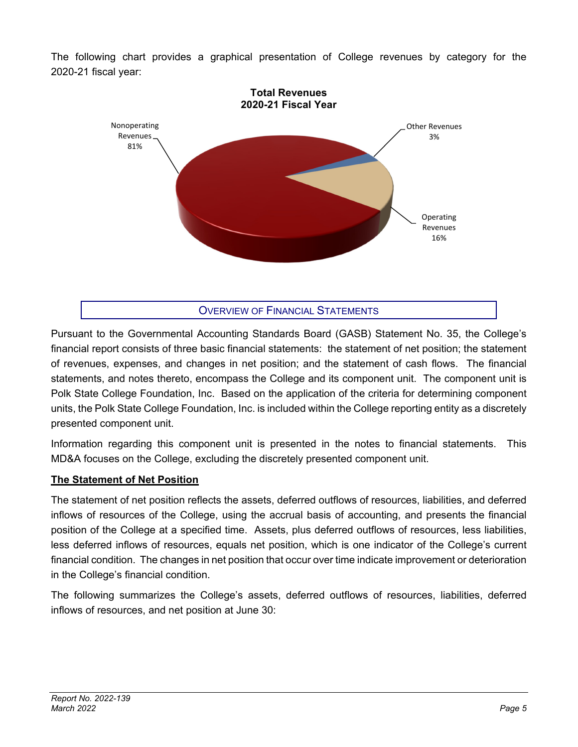The following chart provides a graphical presentation of College revenues by category for the 2020-21 fiscal year:



### OVERVIEW OF FINANCIAL STATEMENTS

Pursuant to the Governmental Accounting Standards Board (GASB) Statement No. 35, the College's financial report consists of three basic financial statements: the statement of net position; the statement of revenues, expenses, and changes in net position; and the statement of cash flows. The financial statements, and notes thereto, encompass the College and its component unit. The component unit is Polk State College Foundation, Inc. Based on the application of the criteria for determining component units, the Polk State College Foundation, Inc. is included within the College reporting entity as a discretely presented component unit.

Information regarding this component unit is presented in the notes to financial statements. This MD&A focuses on the College, excluding the discretely presented component unit.

#### **The Statement of Net Position**

The statement of net position reflects the assets, deferred outflows of resources, liabilities, and deferred inflows of resources of the College, using the accrual basis of accounting, and presents the financial position of the College at a specified time. Assets, plus deferred outflows of resources, less liabilities, less deferred inflows of resources, equals net position, which is one indicator of the College's current financial condition. The changes in net position that occur over time indicate improvement or deterioration in the College's financial condition.

The following summarizes the College's assets, deferred outflows of resources, liabilities, deferred inflows of resources, and net position at June 30: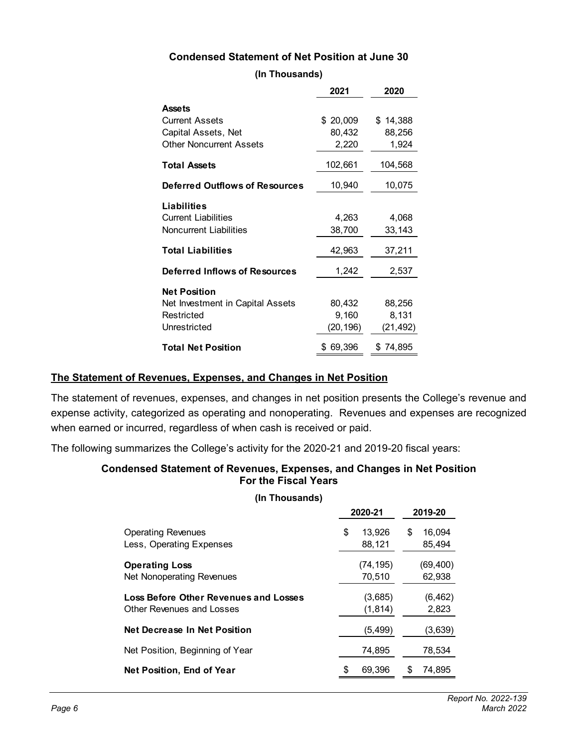#### **Condensed Statement of Net Position at June 30**

**(In Thousands)** 

|                                       | 2021      | 2020      |
|---------------------------------------|-----------|-----------|
| <b>Assets</b>                         |           |           |
| <b>Current Assets</b>                 | \$20,009  | \$14,388  |
| Capital Assets, Net                   | 80,432    | 88,256    |
| <b>Other Noncurrent Assets</b>        | 2,220     | 1,924     |
| <b>Total Assets</b>                   | 102,661   | 104,568   |
| <b>Deferred Outflows of Resources</b> | 10,940    | 10,075    |
| Liabilities                           |           |           |
| <b>Current Liabilities</b>            | 4,263     | 4,068     |
| <b>Noncurrent Liabilities</b>         | 38,700    | 33,143    |
| <b>Total Liabilities</b>              | 42,963    | 37,211    |
| Deferred Inflows of Resources         | 1,242     | 2,537     |
| <b>Net Position</b>                   |           |           |
| Net Investment in Capital Assets      | 80,432    | 88,256    |
| Restricted                            | 9,160     | 8,131     |
| Unrestricted                          | (20, 196) | (21, 492) |
| <b>Total Net Position</b>             | \$69,396  | \$74,895  |

#### **The Statement of Revenues, Expenses, and Changes in Net Position**

The statement of revenues, expenses, and changes in net position presents the College's revenue and expense activity, categorized as operating and nonoperating. Revenues and expenses are recognized when earned or incurred, regardless of when cash is received or paid.

The following summarizes the College's activity for the 2020-21 and 2019-20 fiscal years:

#### **Condensed Statement of Revenues, Expenses, and Changes in Net Position For the Fiscal Years**

**(In Thousands)** 

|                                                                           | 2020-21 |                     | 2019-20 |                    |
|---------------------------------------------------------------------------|---------|---------------------|---------|--------------------|
| <b>Operating Revenues</b><br>Less, Operating Expenses                     | \$      | 13.926<br>88,121    | \$      | 16,094<br>85,494   |
| <b>Operating Loss</b><br>Net Nonoperating Revenues                        |         | (74, 195)<br>70,510 |         | (69,400)<br>62,938 |
| <b>Loss Before Other Revenues and Losses</b><br>Other Revenues and Losses |         | (3,685)<br>(1, 814) |         | (6, 462)<br>2,823  |
| <b>Net Decrease In Net Position</b>                                       |         | (5, 499)            |         | (3,639)            |
| Net Position, Beginning of Year                                           |         | 74,895              |         | 78,534             |
| <b>Net Position, End of Year</b>                                          | \$      | 69.396              | S       | 74.895             |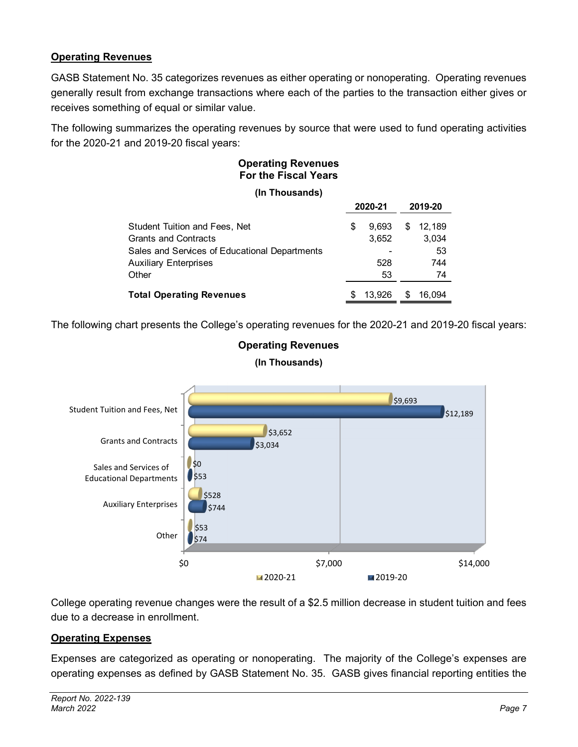### **Operating Revenues**

GASB Statement No. 35 categorizes revenues as either operating or nonoperating. Operating revenues generally result from exchange transactions where each of the parties to the transaction either gives or receives something of equal or similar value.

The following summarizes the operating revenues by source that were used to fund operating activities for the 2020-21 and 2019-20 fiscal years:

### **Operating Revenues For the Fiscal Years**

## **(In Thousands)**

|                                                                               |    | 2020-21 |    | 2019-20     |
|-------------------------------------------------------------------------------|----|---------|----|-------------|
| <b>Student Tuition and Fees, Net</b>                                          | \$ | 9.693   | \$ | 12.189      |
| <b>Grants and Contracts</b>                                                   |    | 3,652   |    | 3,034<br>53 |
| Sales and Services of Educational Departments<br><b>Auxiliary Enterprises</b> |    | 528     |    | 744         |
| Other                                                                         |    | 53      |    | 74          |
| <b>Total Operating Revenues</b>                                               | S  | 13.926  | S  | 16.094      |

The following chart presents the College's operating revenues for the 2020-21 and 2019-20 fiscal years:



## **Operating Revenues**

**(In Thousands)** 

College operating revenue changes were the result of a \$2.5 million decrease in student tuition and fees due to a decrease in enrollment.

### **Operating Expenses**

Expenses are categorized as operating or nonoperating. The majority of the College's expenses are operating expenses as defined by GASB Statement No. 35. GASB gives financial reporting entities the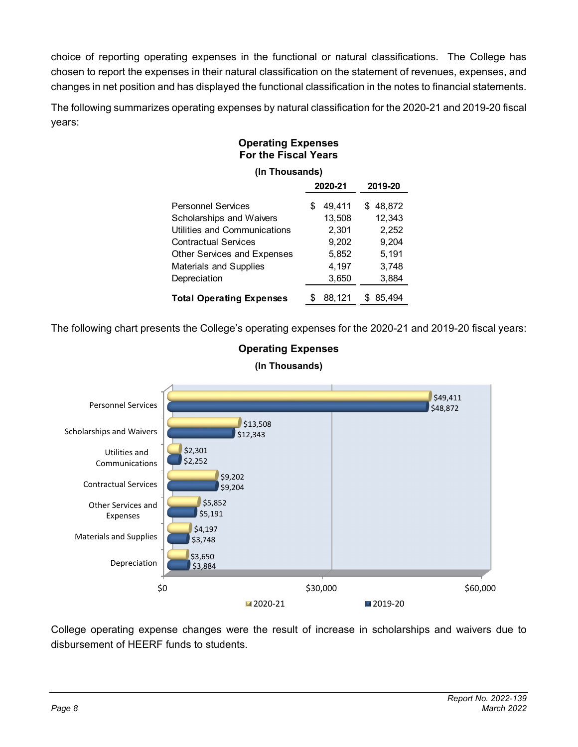choice of reporting operating expenses in the functional or natural classifications. The College has chosen to report the expenses in their natural classification on the statement of revenues, expenses, and changes in net position and has displayed the functional classification in the notes to financial statements.

The following summarizes operating expenses by natural classification for the 2020-21 and 2019-20 fiscal years:

### **Operating Expenses For the Fiscal Years**

### **(In Thousands) 2020-21 2019-20** Personnel Services  $$ 49,411 $ 48,872$ Scholarships and Waivers 13,508 12,343 Utilities and Communications 2,301 2,252 Contractual Services 9,202 9,204 Other Services and Expenses 5,852 5,191 Materials and Supplies **4,197** 3,748 Depreciation 3,650 3,884 **Total Operating Expenses**  $$88,121$   $$85,494$

The following chart presents the College's operating expenses for the 2020-21 and 2019-20 fiscal years:



**Operating Expenses (In Thousands)** 

College operating expense changes were the result of increase in scholarships and waivers due to disbursement of HEERF funds to students.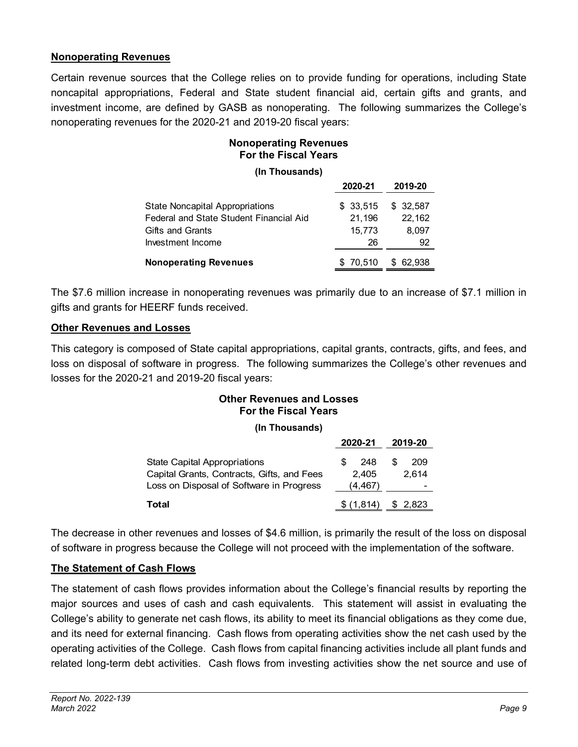### **Nonoperating Revenues**

Certain revenue sources that the College relies on to provide funding for operations, including State noncapital appropriations, Federal and State student financial aid, certain gifts and grants, and investment income, are defined by GASB as nonoperating. The following summarizes the College's nonoperating revenues for the 2020-21 and 2019-20 fiscal years:

#### **Nonoperating Revenues For the Fiscal Years**

#### **(In Thousands)**

|                                         | 2020-21   | 2019-20      |
|-----------------------------------------|-----------|--------------|
| <b>State Noncapital Appropriations</b>  | \$ 33,515 | \$32,587     |
| Federal and State Student Financial Aid | 21,196    | 22,162       |
| <b>Gifts and Grants</b>                 | 15,773    | 8,097        |
| Investment Income                       | 26        | 92           |
| <b>Nonoperating Revenues</b>            | \$70,510  | 62,938<br>S. |

The \$7.6 million increase in nonoperating revenues was primarily due to an increase of \$7.1 million in gifts and grants for HEERF funds received.

#### **Other Revenues and Losses**

This category is composed of State capital appropriations, capital grants, contracts, gifts, and fees, and loss on disposal of software in progress. The following summarizes the College's other revenues and losses for the 2020-21 and 2019-20 fiscal years:

#### **Other Revenues and Losses For the Fiscal Years**

#### **(In Thousands)**

|                                                                                                                               | 2020-21                 | 2019-20      |  |
|-------------------------------------------------------------------------------------------------------------------------------|-------------------------|--------------|--|
| <b>State Capital Appropriations</b><br>Capital Grants, Contracts, Gifts, and Fees<br>Loss on Disposal of Software in Progress | 248<br>2.405<br>(4.467) | 209<br>2.614 |  |
| Total                                                                                                                         | \$(1,814)               | \$ 2,823     |  |

The decrease in other revenues and losses of \$4.6 million, is primarily the result of the loss on disposal of software in progress because the College will not proceed with the implementation of the software.

#### **The Statement of Cash Flows**

The statement of cash flows provides information about the College's financial results by reporting the major sources and uses of cash and cash equivalents. This statement will assist in evaluating the College's ability to generate net cash flows, its ability to meet its financial obligations as they come due, and its need for external financing. Cash flows from operating activities show the net cash used by the operating activities of the College. Cash flows from capital financing activities include all plant funds and related long-term debt activities. Cash flows from investing activities show the net source and use of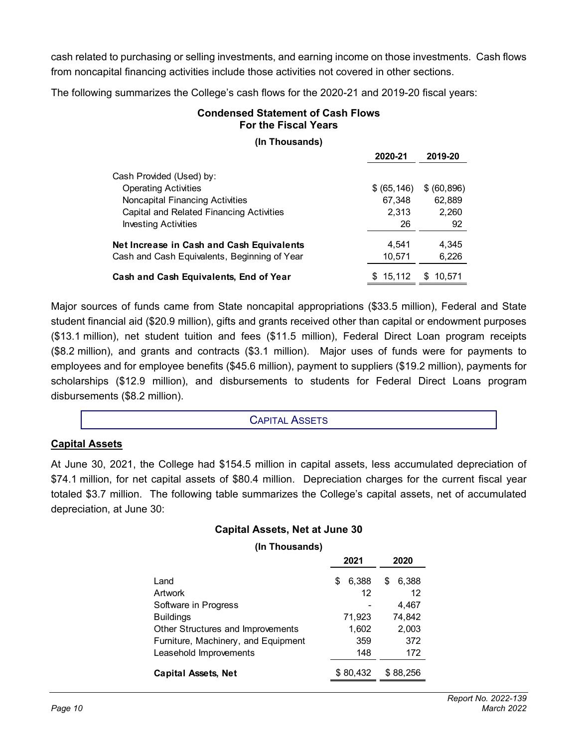cash related to purchasing or selling investments, and earning income on those investments. Cash flows from noncapital financing activities include those activities not covered in other sections.

The following summarizes the College's cash flows for the 2020-21 and 2019-20 fiscal years:

#### **Condensed Statement of Cash Flows For the Fiscal Years**

#### **(In Thousands)**

|                                              | 2020-21      | 2019-20      |
|----------------------------------------------|--------------|--------------|
| Cash Provided (Used) by:                     |              |              |
| <b>Operating Activities</b>                  | \$ (65, 146) | \$ (60, 896) |
| <b>Noncapital Financing Activities</b>       | 67,348       | 62,889       |
| Capital and Related Financing Activities     | 2,313        | 2,260        |
| <b>Investing Activities</b>                  | 26           | 92           |
| Net Increase in Cash and Cash Equivalents    | 4.541        | 4,345        |
| Cash and Cash Equivalents, Beginning of Year | 10,571       | 6,226        |
| Cash and Cash Equivalents, End of Year       | \$15,112     | \$10,571     |

Major sources of funds came from State noncapital appropriations (\$33.5 million), Federal and State student financial aid (\$20.9 million), gifts and grants received other than capital or endowment purposes (\$13.1 million), net student tuition and fees (\$11.5 million), Federal Direct Loan program receipts (\$8.2 million), and grants and contracts (\$3.1 million). Major uses of funds were for payments to employees and for employee benefits (\$45.6 million), payment to suppliers (\$19.2 million), payments for scholarships (\$12.9 million), and disbursements to students for Federal Direct Loans program disbursements (\$8.2 million).

#### CAPITAL ASSETS

#### **Capital Assets**

At June 30, 2021, the College had \$154.5 million in capital assets, less accumulated depreciation of \$74.1 million, for net capital assets of \$80.4 million. Depreciation charges for the current fiscal year totaled \$3.7 million. The following table summarizes the College's capital assets, net of accumulated depreciation, at June 30:

#### **Capital Assets, Net at June 30**

| (In Thousands)                      |             |             |
|-------------------------------------|-------------|-------------|
|                                     | 2021        | 2020        |
| Land                                | 6,388<br>\$ | 6,388<br>\$ |
| Artwork                             | 12          | 12          |
| Software in Progress                |             | 4,467       |
| <b>Buildings</b>                    | 71,923      | 74.842      |
| Other Structures and Improvements   | 1,602       | 2,003       |
| Furniture, Machinery, and Equipment | 359         | 372         |
| Leasehold Improvements              | 148         | 172         |
| <b>Capital Assets, Net</b>          | \$80.432    | \$88.256    |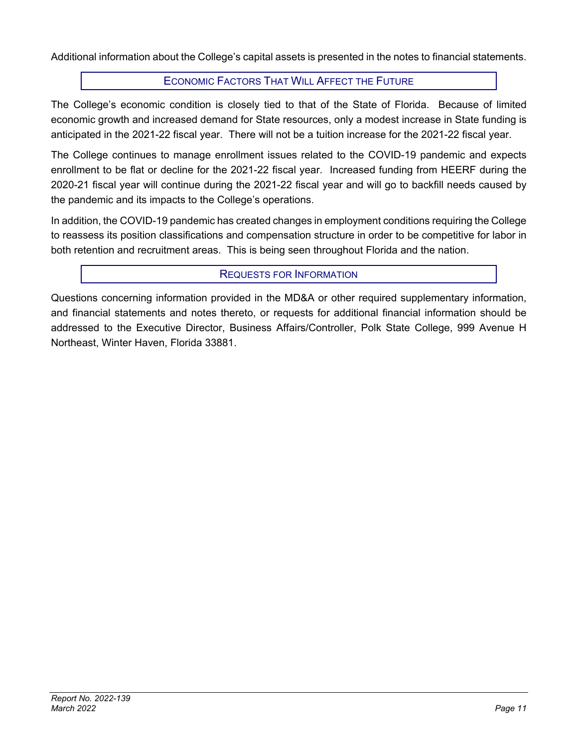Additional information about the College's capital assets is presented in the notes to financial statements.

### ECONOMIC FACTORS THAT WILL AFFECT THE FUTURE

The College's economic condition is closely tied to that of the State of Florida. Because of limited economic growth and increased demand for State resources, only a modest increase in State funding is anticipated in the 2021-22 fiscal year. There will not be a tuition increase for the 2021-22 fiscal year.

The College continues to manage enrollment issues related to the COVID-19 pandemic and expects enrollment to be flat or decline for the 2021-22 fiscal year. Increased funding from HEERF during the 2020-21 fiscal year will continue during the 2021-22 fiscal year and will go to backfill needs caused by the pandemic and its impacts to the College's operations.

In addition, the COVID-19 pandemic has created changes in employment conditions requiring the College to reassess its position classifications and compensation structure in order to be competitive for labor in both retention and recruitment areas. This is being seen throughout Florida and the nation.

### REQUESTS FOR INFORMATION

Questions concerning information provided in the MD&A or other required supplementary information, and financial statements and notes thereto, or requests for additional financial information should be addressed to the Executive Director, Business Affairs/Controller, Polk State College, 999 Avenue H Northeast, Winter Haven, Florida 33881.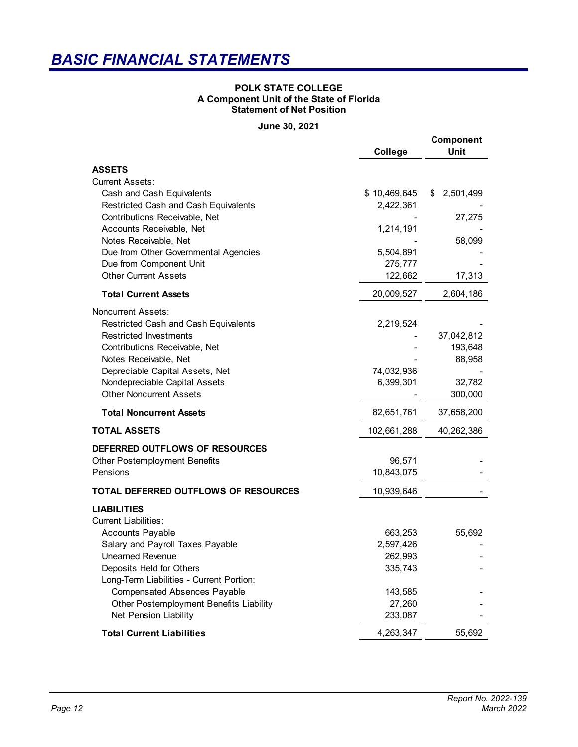## <span id="page-15-0"></span>*BASIC FINANCIAL STATEMENTS*

#### **POLK STATE COLLEGE A Component Unit of the State of Florida Statement of Net Position**

**June 30, 2021** 

|                                          | College      | Component<br>Unit |
|------------------------------------------|--------------|-------------------|
| <b>ASSETS</b>                            |              |                   |
| Current Assets:                          |              |                   |
| Cash and Cash Equivalents                | \$10,469,645 | 2,501,499<br>\$   |
| Restricted Cash and Cash Equivalents     | 2,422,361    |                   |
| Contributions Receivable, Net            |              | 27,275            |
| Accounts Receivable, Net                 | 1,214,191    |                   |
| Notes Receivable, Net                    |              | 58,099            |
| Due from Other Governmental Agencies     | 5,504,891    |                   |
| Due from Component Unit                  | 275,777      |                   |
| <b>Other Current Assets</b>              | 122,662      | 17,313            |
| <b>Total Current Assets</b>              | 20,009,527   | 2,604,186         |
| <b>Noncurrent Assets:</b>                |              |                   |
| Restricted Cash and Cash Equivalents     | 2,219,524    |                   |
| <b>Restricted Investments</b>            |              | 37,042,812        |
| Contributions Receivable, Net            |              | 193,648           |
| Notes Receivable, Net                    |              | 88,958            |
| Depreciable Capital Assets, Net          | 74,032,936   |                   |
| Nondepreciable Capital Assets            | 6,399,301    | 32,782            |
| <b>Other Noncurrent Assets</b>           |              | 300,000           |
| <b>Total Noncurrent Assets</b>           | 82,651,761   | 37,658,200        |
| <b>TOTAL ASSETS</b>                      | 102,661,288  | 40,262,386        |
| DEFERRED OUTFLOWS OF RESOURCES           |              |                   |
| <b>Other Postemployment Benefits</b>     | 96,571       |                   |
| Pensions                                 | 10,843,075   |                   |
| TOTAL DEFERRED OUTFLOWS OF RESOURCES     | 10,939,646   |                   |
| <b>LIABILITIES</b>                       |              |                   |
| <b>Current Liabilities:</b>              |              |                   |
| <b>Accounts Payable</b>                  | 663,253      | 55,692            |
| Salary and Payroll Taxes Payable         | 2,597,426    |                   |
| <b>Unearned Revenue</b>                  | 262,993      |                   |
| Deposits Held for Others                 | 335,743      |                   |
| Long-Term Liabilities - Current Portion: |              |                   |
| <b>Compensated Absences Payable</b>      | 143,585      |                   |
| Other Postemployment Benefits Liability  | 27,260       |                   |
| Net Pension Liability                    | 233,087      |                   |
| <b>Total Current Liabilities</b>         | 4,263,347    | 55,692            |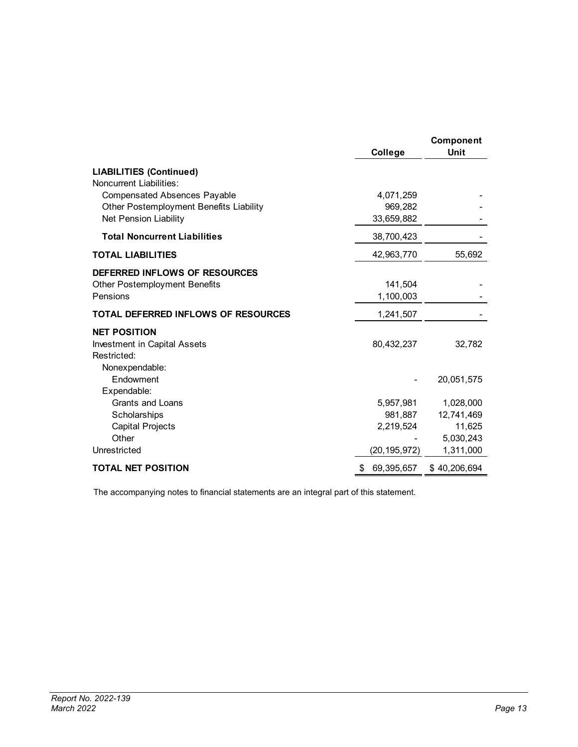|                                                                                                         | College                            | Component<br>Unit                              |
|---------------------------------------------------------------------------------------------------------|------------------------------------|------------------------------------------------|
| <b>LIABILITIES (Continued)</b><br>Noncurrent Liabilities:                                               |                                    |                                                |
| <b>Compensated Absences Payable</b><br>Other Postemployment Benefits Liability<br>Net Pension Liability | 4,071,259<br>969,282<br>33,659,882 |                                                |
| <b>Total Noncurrent Liabilities</b>                                                                     | 38,700,423                         |                                                |
| <b>TOTAL LIABILITIES</b>                                                                                | 42,963,770                         | 55,692                                         |
| DEFERRED INFLOWS OF RESOURCES<br><b>Other Postemployment Benefits</b><br>Pensions                       | 141,504<br>1,100,003               |                                                |
| TOTAL DEFERRED INFLOWS OF RESOURCES                                                                     | 1,241,507                          |                                                |
| <b>NET POSITION</b><br><b>Investment in Capital Assets</b><br>Restricted:<br>Nonexpendable:             | 80,432,237                         | 32,782                                         |
| Endowment                                                                                               |                                    | 20,051,575                                     |
| Expendable:<br>Grants and Loans<br>Scholarships<br><b>Capital Projects</b><br>Other                     | 5,957,981<br>981,887<br>2,219,524  | 1,028,000<br>12,741,469<br>11,625<br>5,030,243 |
| Unrestricted                                                                                            | (20,195,972)                       | 1,311,000                                      |
| <b>TOTAL NET POSITION</b>                                                                               | 69,395,657<br>\$                   | \$40,206,694                                   |

The accompanying notes to financial statements are an integral part of this statement.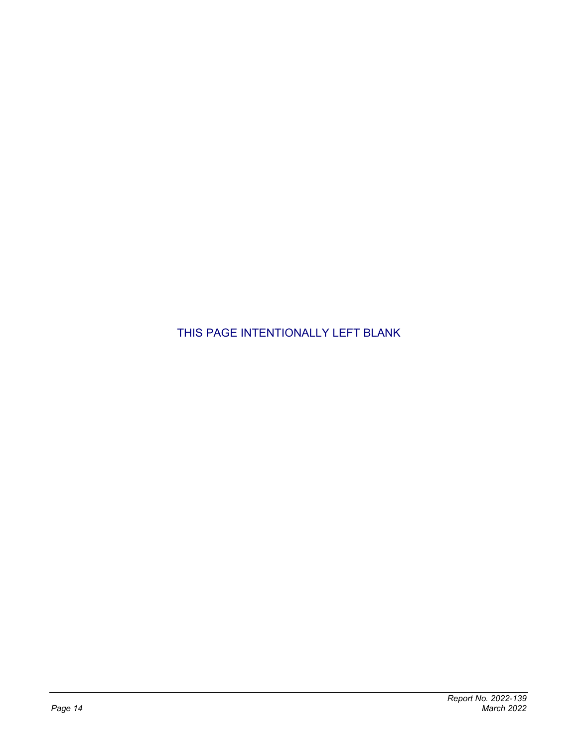THIS PAGE INTENTIONALLY LEFT BLANK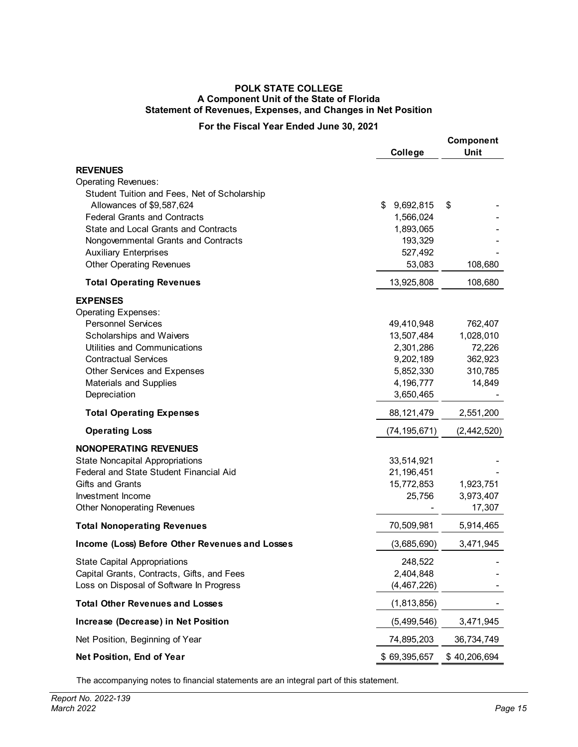#### **POLK STATE COLLEGE A Component Unit of the State of Florida Statement of Revenues, Expenses, and Changes in Net Position**

#### **For the Fiscal Year Ended June 30, 2021**

<span id="page-18-0"></span>

|                                                | College         | Component<br>Unit |
|------------------------------------------------|-----------------|-------------------|
|                                                |                 |                   |
| <b>REVENUES</b><br><b>Operating Revenues:</b>  |                 |                   |
| Student Tuition and Fees, Net of Scholarship   |                 |                   |
| Allowances of \$9,587,624                      | \$<br>9,692,815 | \$                |
| <b>Federal Grants and Contracts</b>            | 1,566,024       |                   |
| State and Local Grants and Contracts           | 1,893,065       |                   |
| Nongovernmental Grants and Contracts           | 193,329         |                   |
| <b>Auxiliary Enterprises</b>                   | 527,492         |                   |
| <b>Other Operating Revenues</b>                | 53,083          | 108,680           |
| <b>Total Operating Revenues</b>                | 13,925,808      | 108,680           |
| <b>EXPENSES</b>                                |                 |                   |
| <b>Operating Expenses:</b>                     |                 |                   |
| <b>Personnel Services</b>                      | 49,410,948      | 762,407           |
| Scholarships and Waivers                       | 13,507,484      | 1,028,010         |
| Utilities and Communications                   | 2,301,286       | 72,226            |
| <b>Contractual Services</b>                    | 9,202,189       | 362,923           |
| Other Services and Expenses                    | 5,852,330       | 310,785           |
| <b>Materials and Supplies</b>                  | 4,196,777       | 14,849            |
| Depreciation                                   | 3,650,465       |                   |
| <b>Total Operating Expenses</b>                | 88, 121, 479    | 2,551,200         |
| <b>Operating Loss</b>                          | (74, 195, 671)  | (2, 442, 520)     |
| <b>NONOPERATING REVENUES</b>                   |                 |                   |
| <b>State Noncapital Appropriations</b>         | 33,514,921      |                   |
| <b>Federal and State Student Financial Aid</b> | 21,196,451      |                   |
| Gifts and Grants                               | 15,772,853      | 1,923,751         |
| Investment Income                              | 25,756          | 3,973,407         |
| <b>Other Nonoperating Revenues</b>             |                 | 17,307            |
| <b>Total Nonoperating Revenues</b>             | 70,509,981      | 5,914,465         |
| Income (Loss) Before Other Revenues and Losses | (3,685,690)     | 3,471,945         |
| <b>State Capital Appropriations</b>            | 248,522         |                   |
| Capital Grants, Contracts, Gifts, and Fees     | 2,404,848       |                   |
| Loss on Disposal of Software In Progress       | (4, 467, 226)   |                   |
| <b>Total Other Revenues and Losses</b>         | (1,813,856)     |                   |
| Increase (Decrease) in Net Position            | (5,499,546)     | 3,471,945         |
| Net Position, Beginning of Year                | 74,895,203      | 36,734,749        |
| Net Position, End of Year                      | \$69,395,657    | \$40,206,694      |

The accompanying notes to financial statements are an integral part of this statement.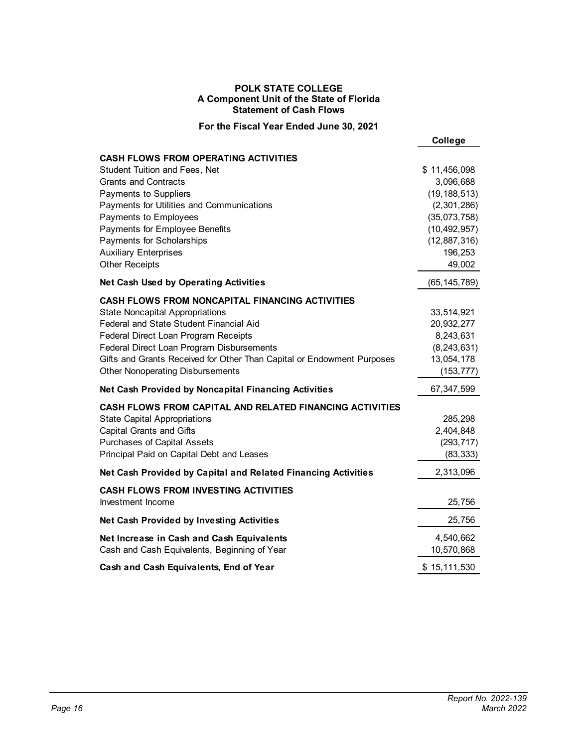#### **POLK STATE COLLEGE A Component Unit of the State of Florida Statement of Cash Flows**

**For the Fiscal Year Ended June 30, 2021** 

<span id="page-19-0"></span>

|                                                                                                                                                                                                                                                                                                                                                | College                                                                            |
|------------------------------------------------------------------------------------------------------------------------------------------------------------------------------------------------------------------------------------------------------------------------------------------------------------------------------------------------|------------------------------------------------------------------------------------|
| <b>CASH FLOWS FROM OPERATING ACTIVITIES</b>                                                                                                                                                                                                                                                                                                    |                                                                                    |
| Student Tuition and Fees, Net<br><b>Grants and Contracts</b><br>Payments to Suppliers<br>Payments for Utilities and Communications                                                                                                                                                                                                             | \$11,456,098<br>3,096,688<br>(19, 188, 513)<br>(2,301,286)                         |
| Payments to Employees<br>Payments for Employee Benefits<br>Payments for Scholarships<br><b>Auxiliary Enterprises</b><br><b>Other Receipts</b>                                                                                                                                                                                                  | (35,073,758)<br>(10, 492, 957)<br>(12, 887, 316)<br>196,253<br>49,002              |
| <b>Net Cash Used by Operating Activities</b>                                                                                                                                                                                                                                                                                                   | (65, 145, 789)                                                                     |
| CASH FLOWS FROM NONCAPITAL FINANCING ACTIVITIES<br><b>State Noncapital Appropriations</b><br>Federal and State Student Financial Aid<br>Federal Direct Loan Program Receipts<br>Federal Direct Loan Program Disbursements<br>Gifts and Grants Received for Other Than Capital or Endowment Purposes<br><b>Other Nonoperating Disbursements</b> | 33,514,921<br>20,932,277<br>8,243,631<br>(8, 243, 631)<br>13,054,178<br>(153, 777) |
| Net Cash Provided by Noncapital Financing Activities                                                                                                                                                                                                                                                                                           | 67,347,599                                                                         |
| CASH FLOWS FROM CAPITAL AND RELATED FINANCING ACTIVITIES<br><b>State Capital Appropriations</b><br><b>Capital Grants and Gifts</b><br>Purchases of Capital Assets<br>Principal Paid on Capital Debt and Leases                                                                                                                                 | 285,298<br>2,404,848<br>(293, 717)<br>(83, 333)                                    |
| Net Cash Provided by Capital and Related Financing Activities                                                                                                                                                                                                                                                                                  | 2,313,096                                                                          |
| <b>CASH FLOWS FROM INVESTING ACTIVITIES</b><br>Investment Income                                                                                                                                                                                                                                                                               | 25,756                                                                             |
| <b>Net Cash Provided by Investing Activities</b>                                                                                                                                                                                                                                                                                               | 25,756                                                                             |
| Net Increase in Cash and Cash Equivalents<br>Cash and Cash Equivalents, Beginning of Year                                                                                                                                                                                                                                                      | 4,540,662<br>10,570,868                                                            |
| Cash and Cash Equivalents, End of Year                                                                                                                                                                                                                                                                                                         | \$15,111,530                                                                       |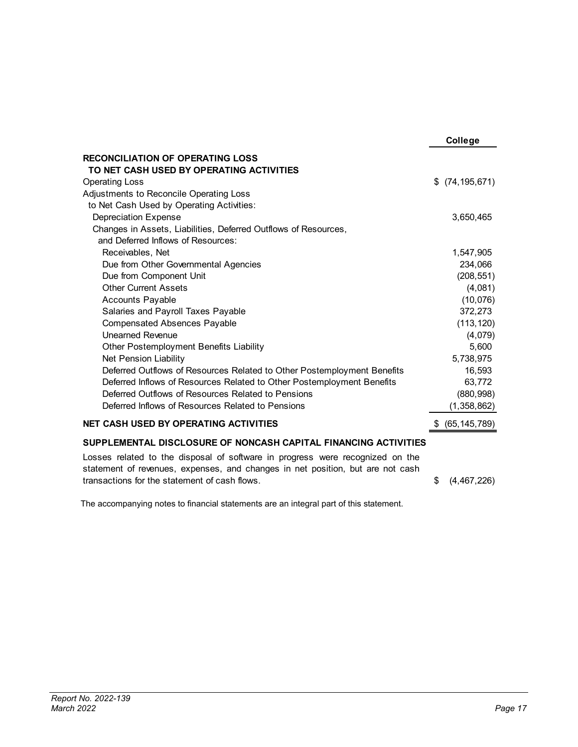|                                                                                | College            |
|--------------------------------------------------------------------------------|--------------------|
| <b>RECONCILIATION OF OPERATING LOSS</b>                                        |                    |
| TO NET CASH USED BY OPERATING ACTIVITIES                                       |                    |
| <b>Operating Loss</b>                                                          | $$$ (74, 195, 671) |
| Adjustments to Reconcile Operating Loss                                        |                    |
| to Net Cash Used by Operating Activities:                                      |                    |
| <b>Depreciation Expense</b>                                                    | 3,650,465          |
| Changes in Assets, Liabilities, Deferred Outflows of Resources,                |                    |
| and Deferred Inflows of Resources:                                             |                    |
| Receivables, Net                                                               | 1,547,905          |
| Due from Other Governmental Agencies                                           | 234,066            |
| Due from Component Unit                                                        | (208, 551)         |
| <b>Other Current Assets</b>                                                    | (4,081)            |
| <b>Accounts Payable</b>                                                        | (10,076)           |
| Salaries and Payroll Taxes Payable                                             | 372,273            |
| <b>Compensated Absences Payable</b>                                            | (113, 120)         |
| Unearned Revenue                                                               | (4,079)            |
| Other Postemployment Benefits Liability                                        | 5.600              |
| Net Pension Liability                                                          | 5,738,975          |
| Deferred Outflows of Resources Related to Other Postemployment Benefits        | 16,593             |
| Deferred Inflows of Resources Related to Other Postemployment Benefits         | 63,772             |
| Deferred Outflows of Resources Related to Pensions                             | (880, 998)         |
| Deferred Inflows of Resources Related to Pensions                              | (1,358,862)        |
| <b>NET CASH USED BY OPERATING ACTIVITIES</b>                                   | (65, 145, 789)     |
| SUPPLEMENTAL DISCLOSURE OF NONCASH CAPITAL FINANCING ACTIVITIES                |                    |
| Losses related to the disposal of software in progress were recognized on the  |                    |
| statement of revenues, expenses, and changes in net position, but are not cash |                    |
| transactions for the statement of cash flows.                                  | \$<br>(4,467,226)  |

The accompanying notes to financial statements are an integral part of this statement.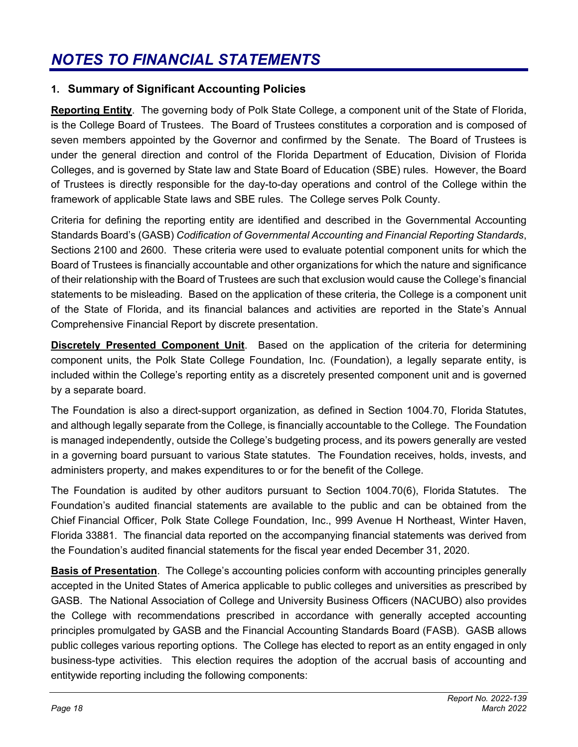## <span id="page-21-0"></span>*NOTES TO FINANCIAL STATEMENTS*

### **1. Summary of Significant Accounting Policies**

**Reporting Entity**. The governing body of Polk State College, a component unit of the State of Florida, is the College Board of Trustees. The Board of Trustees constitutes a corporation and is composed of seven members appointed by the Governor and confirmed by the Senate. The Board of Trustees is under the general direction and control of the Florida Department of Education, Division of Florida Colleges, and is governed by State law and State Board of Education (SBE) rules. However, the Board of Trustees is directly responsible for the day-to-day operations and control of the College within the framework of applicable State laws and SBE rules. The College serves Polk County.

Criteria for defining the reporting entity are identified and described in the Governmental Accounting Standards Board's (GASB) *Codification of Governmental Accounting and Financial Reporting Standards*, Sections 2100 and 2600. These criteria were used to evaluate potential component units for which the Board of Trustees is financially accountable and other organizations for which the nature and significance of their relationship with the Board of Trustees are such that exclusion would cause the College's financial statements to be misleading. Based on the application of these criteria, the College is a component unit of the State of Florida, and its financial balances and activities are reported in the State's Annual Comprehensive Financial Report by discrete presentation.

**Discretely Presented Component Unit**. Based on the application of the criteria for determining component units, the Polk State College Foundation, Inc. (Foundation), a legally separate entity, is included within the College's reporting entity as a discretely presented component unit and is governed by a separate board.

The Foundation is also a direct-support organization, as defined in Section 1004.70, Florida Statutes, and although legally separate from the College, is financially accountable to the College. The Foundation is managed independently, outside the College's budgeting process, and its powers generally are vested in a governing board pursuant to various State statutes. The Foundation receives, holds, invests, and administers property, and makes expenditures to or for the benefit of the College.

The Foundation is audited by other auditors pursuant to Section 1004.70(6), Florida Statutes. The Foundation's audited financial statements are available to the public and can be obtained from the Chief Financial Officer, Polk State College Foundation, Inc., 999 Avenue H Northeast, Winter Haven, Florida 33881. The financial data reported on the accompanying financial statements was derived from the Foundation's audited financial statements for the fiscal year ended December 31, 2020.

**Basis of Presentation**. The College's accounting policies conform with accounting principles generally accepted in the United States of America applicable to public colleges and universities as prescribed by GASB. The National Association of College and University Business Officers (NACUBO) also provides the College with recommendations prescribed in accordance with generally accepted accounting principles promulgated by GASB and the Financial Accounting Standards Board (FASB). GASB allows public colleges various reporting options. The College has elected to report as an entity engaged in only business-type activities. This election requires the adoption of the accrual basis of accounting and entitywide reporting including the following components: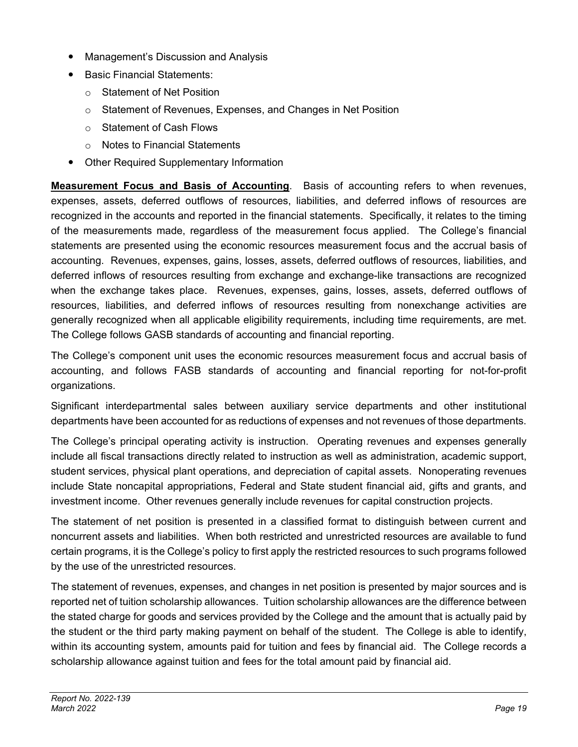- Management's Discussion and Analysis
- Basic Financial Statements:
	- o Statement of Net Position
	- o Statement of Revenues, Expenses, and Changes in Net Position
	- o Statement of Cash Flows
	- o Notes to Financial Statements
- Other Required Supplementary Information

**Measurement Focus and Basis of Accounting**. Basis of accounting refers to when revenues, expenses, assets, deferred outflows of resources, liabilities, and deferred inflows of resources are recognized in the accounts and reported in the financial statements. Specifically, it relates to the timing of the measurements made, regardless of the measurement focus applied. The College's financial statements are presented using the economic resources measurement focus and the accrual basis of accounting. Revenues, expenses, gains, losses, assets, deferred outflows of resources, liabilities, and deferred inflows of resources resulting from exchange and exchange-like transactions are recognized when the exchange takes place. Revenues, expenses, gains, losses, assets, deferred outflows of resources, liabilities, and deferred inflows of resources resulting from nonexchange activities are generally recognized when all applicable eligibility requirements, including time requirements, are met. The College follows GASB standards of accounting and financial reporting.

The College's component unit uses the economic resources measurement focus and accrual basis of accounting, and follows FASB standards of accounting and financial reporting for not-for-profit organizations.

Significant interdepartmental sales between auxiliary service departments and other institutional departments have been accounted for as reductions of expenses and not revenues of those departments.

The College's principal operating activity is instruction. Operating revenues and expenses generally include all fiscal transactions directly related to instruction as well as administration, academic support, student services, physical plant operations, and depreciation of capital assets. Nonoperating revenues include State noncapital appropriations, Federal and State student financial aid, gifts and grants, and investment income. Other revenues generally include revenues for capital construction projects.

The statement of net position is presented in a classified format to distinguish between current and noncurrent assets and liabilities. When both restricted and unrestricted resources are available to fund certain programs, it is the College's policy to first apply the restricted resources to such programs followed by the use of the unrestricted resources.

The statement of revenues, expenses, and changes in net position is presented by major sources and is reported net of tuition scholarship allowances. Tuition scholarship allowances are the difference between the stated charge for goods and services provided by the College and the amount that is actually paid by the student or the third party making payment on behalf of the student. The College is able to identify, within its accounting system, amounts paid for tuition and fees by financial aid. The College records a scholarship allowance against tuition and fees for the total amount paid by financial aid.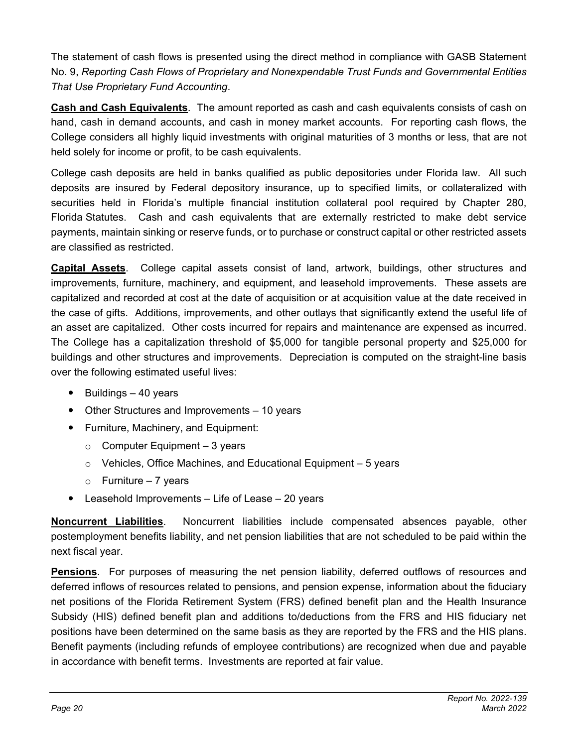The statement of cash flows is presented using the direct method in compliance with GASB Statement No. 9, *Reporting Cash Flows of Proprietary and Nonexpendable Trust Funds and Governmental Entities That Use Proprietary Fund Accounting*.

**Cash and Cash Equivalents**. The amount reported as cash and cash equivalents consists of cash on hand, cash in demand accounts, and cash in money market accounts. For reporting cash flows, the College considers all highly liquid investments with original maturities of 3 months or less, that are not held solely for income or profit, to be cash equivalents.

College cash deposits are held in banks qualified as public depositories under Florida law. All such deposits are insured by Federal depository insurance, up to specified limits, or collateralized with securities held in Florida's multiple financial institution collateral pool required by Chapter 280, Florida Statutes. Cash and cash equivalents that are externally restricted to make debt service payments, maintain sinking or reserve funds, or to purchase or construct capital or other restricted assets are classified as restricted.

**Capital Assets**. College capital assets consist of land, artwork, buildings, other structures and improvements, furniture, machinery, and equipment, and leasehold improvements. These assets are capitalized and recorded at cost at the date of acquisition or at acquisition value at the date received in the case of gifts. Additions, improvements, and other outlays that significantly extend the useful life of an asset are capitalized. Other costs incurred for repairs and maintenance are expensed as incurred. The College has a capitalization threshold of \$5,000 for tangible personal property and \$25,000 for buildings and other structures and improvements. Depreciation is computed on the straight-line basis over the following estimated useful lives:

- $\bullet$  Buildings 40 years
- Other Structures and Improvements 10 years
- Furniture, Machinery, and Equipment:
	- $\circ$  Computer Equipment 3 years
	- $\circ$  Vehicles, Office Machines, and Educational Equipment 5 years
	- $\circ$  Furniture 7 years
- Leasehold Improvements Life of Lease 20 years

**Noncurrent Liabilities**. Noncurrent liabilities include compensated absences payable, other postemployment benefits liability, and net pension liabilities that are not scheduled to be paid within the next fiscal year.

**Pensions**. For purposes of measuring the net pension liability, deferred outflows of resources and deferred inflows of resources related to pensions, and pension expense, information about the fiduciary net positions of the Florida Retirement System (FRS) defined benefit plan and the Health Insurance Subsidy (HIS) defined benefit plan and additions to/deductions from the FRS and HIS fiduciary net positions have been determined on the same basis as they are reported by the FRS and the HIS plans. Benefit payments (including refunds of employee contributions) are recognized when due and payable in accordance with benefit terms. Investments are reported at fair value.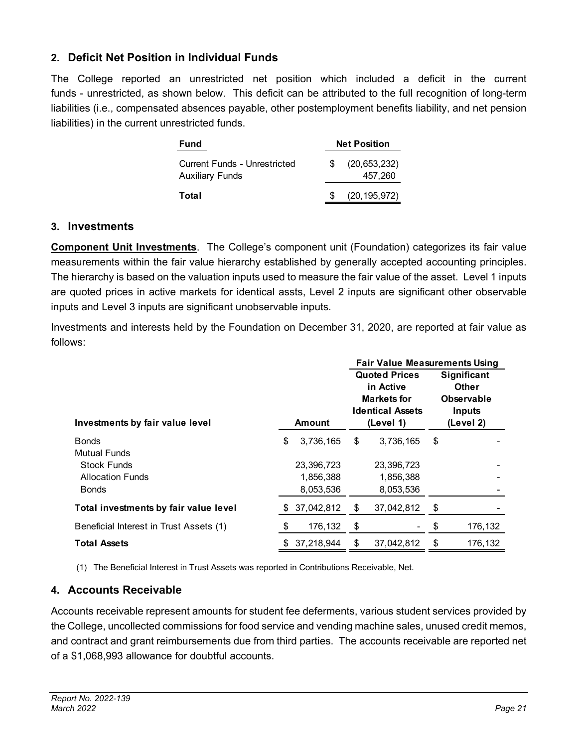### **2. Deficit Net Position in Individual Funds**

The College reported an unrestricted net position which included a deficit in the current funds - unrestricted, as shown below. This deficit can be attributed to the full recognition of long-term liabilities (i.e., compensated absences payable, other postemployment benefits liability, and net pension liabilities) in the current unrestricted funds.

| <b>Fund</b>                                            | <b>Net Position</b> |                           |  |  |
|--------------------------------------------------------|---------------------|---------------------------|--|--|
| Current Funds - Unrestricted<br><b>Auxiliary Funds</b> |                     | (20, 653, 232)<br>457,260 |  |  |
| Total                                                  |                     | (20, 195, 972)            |  |  |

#### **3. Investments**

**Component Unit Investments**. The College's component unit (Foundation) categorizes its fair value measurements within the fair value hierarchy established by generally accepted accounting principles. The hierarchy is based on the valuation inputs used to measure the fair value of the asset. Level 1 inputs are quoted prices in active markets for identical assts, Level 2 inputs are significant other observable inputs and Level 3 inputs are significant unobservable inputs.

Investments and interests held by the Foundation on December 31, 2020, are reported at fair value as follows:

|                                         |                 | <b>Fair Value Measurements Using</b> |                         |             |                   |
|-----------------------------------------|-----------------|--------------------------------------|-------------------------|-------------|-------------------|
|                                         |                 |                                      | <b>Quoted Prices</b>    | Significant |                   |
|                                         |                 |                                      | in Active               |             | <b>Other</b>      |
|                                         |                 |                                      | <b>Markets for</b>      |             | <b>Observable</b> |
|                                         |                 |                                      | <b>Identical Assets</b> |             | <b>Inputs</b>     |
| Investments by fair value level         | Amount          |                                      | (Level 1)               |             | (Level 2)         |
| <b>Bonds</b>                            | \$<br>3,736,165 | \$                                   | 3,736,165               | \$          |                   |
| <b>Mutual Funds</b>                     |                 |                                      |                         |             |                   |
| <b>Stock Funds</b>                      | 23,396,723      |                                      | 23,396,723              |             |                   |
| <b>Allocation Funds</b>                 | 1,856,388       |                                      | 1,856,388               |             |                   |
| <b>Bonds</b>                            | 8,053,536       |                                      | 8,053,536               |             |                   |
| Total investments by fair value level   | 37,042,812      | S                                    | 37,042,812              | \$          |                   |
| Beneficial Interest in Trust Assets (1) | \$<br>176,132   | \$                                   |                         | \$          | 176,132           |
| <b>Total Assets</b>                     | 37,218,944      | \$                                   | 37,042,812              | \$          | 176,132           |
|                                         |                 |                                      |                         |             |                   |

(1) The Beneficial Interest in Trust Assets was reported in Contributions Receivable, Net.

#### **4. Accounts Receivable**

Accounts receivable represent amounts for student fee deferments, various student services provided by the College, uncollected commissions for food service and vending machine sales, unused credit memos, and contract and grant reimbursements due from third parties. The accounts receivable are reported net of a \$1,068,993 allowance for doubtful accounts.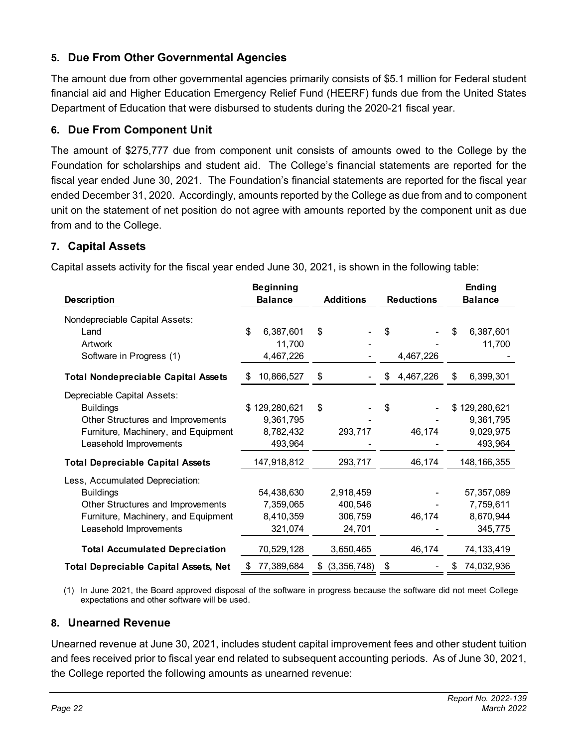### **5. Due From Other Governmental Agencies**

The amount due from other governmental agencies primarily consists of \$5.1 million for Federal student financial aid and Higher Education Emergency Relief Fund (HEERF) funds due from the United States Department of Education that were disbursed to students during the 2020-21 fiscal year.

### **6. Due From Component Unit**

The amount of \$275,777 due from component unit consists of amounts owed to the College by the Foundation for scholarships and student aid. The College's financial statements are reported for the fiscal year ended June 30, 2021. The Foundation's financial statements are reported for the fiscal year ended December 31, 2020. Accordingly, amounts reported by the College as due from and to component unit on the statement of net position do not agree with amounts reported by the component unit as due from and to the College.

### **7. Capital Assets**

Capital assets activity for the fiscal year ended June 30, 2021, is shown in the following table:

| <b>Description</b>                           | <b>Beginning</b><br><b>Balance</b> | <b>Additions</b>  | <b>Reductions</b> | <b>Ending</b><br><b>Balance</b> |
|----------------------------------------------|------------------------------------|-------------------|-------------------|---------------------------------|
| Nondepreciable Capital Assets:               |                                    |                   |                   |                                 |
| Land                                         | \$.<br>6,387,601                   | \$                | \$                | 6,387,601<br>\$                 |
| Artwork                                      | 11,700                             |                   |                   | 11,700                          |
| Software in Progress (1)                     | 4,467,226                          |                   | 4,467,226         |                                 |
| <b>Total Nondepreciable Capital Assets</b>   | 10,866,527<br>S                    | \$                | 4,467,226<br>S    | 6,399,301<br>\$                 |
| Depreciable Capital Assets:                  |                                    |                   |                   |                                 |
| <b>Buildings</b>                             | \$129,280,621                      | \$                | \$                | 129,280,621<br>\$               |
| Other Structures and Improvements            | 9,361,795                          |                   |                   | 9,361,795                       |
| Furniture, Machinery, and Equipment          | 8,782,432                          | 293,717           | 46,174            | 9,029,975                       |
| Leasehold Improvements                       | 493,964                            |                   |                   | 493,964                         |
| <b>Total Depreciable Capital Assets</b>      | 147,918,812                        | 293,717           | 46,174            | 148, 166, 355                   |
| Less, Accumulated Depreciation:              |                                    |                   |                   |                                 |
| <b>Buildings</b>                             | 54,438,630                         | 2,918,459         |                   | 57,357,089                      |
| Other Structures and Improvements            | 7,359,065                          | 400,546           |                   | 7,759,611                       |
| Furniture, Machinery, and Equipment          | 8,410,359                          | 306,759           | 46,174            | 8,670,944                       |
| Leasehold Improvements                       | 321,074                            | 24,701            |                   | 345,775                         |
| <b>Total Accumulated Depreciation</b>        | 70,529,128                         | 3,650,465         | 46,174            | 74, 133, 419                    |
| <b>Total Depreciable Capital Assets, Net</b> | 77,389,684                         | (3,356,748)<br>\$ | \$                | 74,032,936<br>\$                |

(1) In June 2021, the Board approved disposal of the software in progress because the software did not meet College expectations and other software will be used.

#### **8. Unearned Revenue**

Unearned revenue at June 30, 2021, includes student capital improvement fees and other student tuition and fees received prior to fiscal year end related to subsequent accounting periods. As of June 30, 2021, the College reported the following amounts as unearned revenue: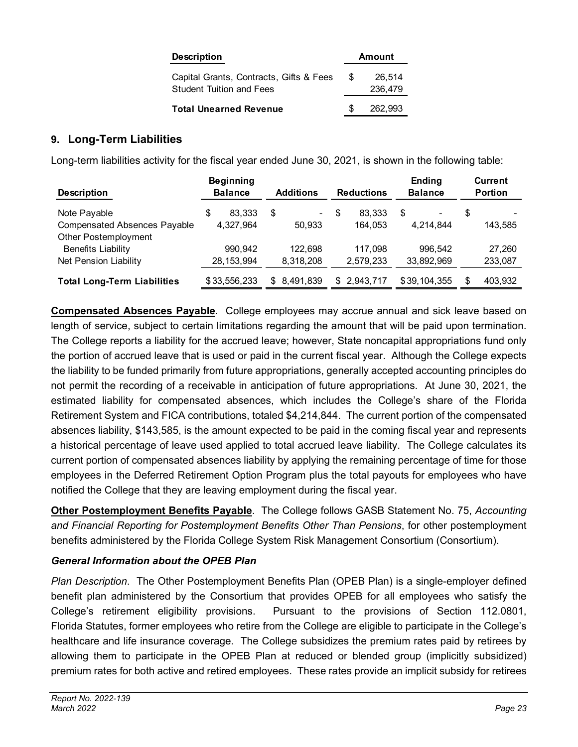| <b>Description</b>                                                         | Amount |                   |  |  |
|----------------------------------------------------------------------------|--------|-------------------|--|--|
| Capital Grants, Contracts, Gifts & Fees<br><b>Student Tuition and Fees</b> | \$.    | 26.514<br>236.479 |  |  |
| <b>Total Unearned Revenue</b>                                              |        | 262,993           |  |  |

### **9. Long-Term Liabilities**

Long-term liabilities activity for the fiscal year ended June 30, 2021, is shown in the following table:

| <b>Description</b>                  | <b>Beginning</b><br><b>Balance</b> | <b>Additions</b>     | <b>Reductions</b> |           | <b>Ending</b><br><b>Balance</b> | <b>Current</b><br><b>Portion</b> |
|-------------------------------------|------------------------------------|----------------------|-------------------|-----------|---------------------------------|----------------------------------|
| Note Payable                        | \$<br>83.333                       | \$<br>$\blacksquare$ | S                 | 83.333    | \$<br>۰                         | \$                               |
| <b>Compensated Absences Payable</b> | 4,327,964                          | 50.933               |                   | 164.053   | 4.214.844                       | 143,585                          |
| <b>Other Postemployment</b>         |                                    |                      |                   |           |                                 |                                  |
| <b>Benefits Liability</b>           | 990,942                            | 122,698              |                   | 117.098   | 996,542                         | 27,260                           |
| Net Pension Liability               | 28, 153, 994                       | 8,318,208            |                   | 2,579,233 | 33,892,969                      | 233,087                          |
| <b>Total Long-Term Liabilities</b>  | \$33,556,233                       | \$8,491,839          | \$.               | 2,943,717 | \$39,104,355                    | \$<br>403,932                    |

**Compensated Absences Payable**. College employees may accrue annual and sick leave based on length of service, subject to certain limitations regarding the amount that will be paid upon termination. The College reports a liability for the accrued leave; however, State noncapital appropriations fund only the portion of accrued leave that is used or paid in the current fiscal year. Although the College expects the liability to be funded primarily from future appropriations, generally accepted accounting principles do not permit the recording of a receivable in anticipation of future appropriations. At June 30, 2021, the estimated liability for compensated absences, which includes the College's share of the Florida Retirement System and FICA contributions, totaled \$4,214,844. The current portion of the compensated absences liability, \$143,585, is the amount expected to be paid in the coming fiscal year and represents a historical percentage of leave used applied to total accrued leave liability. The College calculates its current portion of compensated absences liability by applying the remaining percentage of time for those employees in the Deferred Retirement Option Program plus the total payouts for employees who have notified the College that they are leaving employment during the fiscal year.

**Other Postemployment Benefits Payable**. The College follows GASB Statement No. 75, *Accounting and Financial Reporting for Postemployment Benefits Other Than Pensions*, for other postemployment benefits administered by the Florida College System Risk Management Consortium (Consortium).

### *General Information about the OPEB Plan*

*Plan Description*. The Other Postemployment Benefits Plan (OPEB Plan) is a single-employer defined benefit plan administered by the Consortium that provides OPEB for all employees who satisfy the College's retirement eligibility provisions. Pursuant to the provisions of Section 112.0801, Florida Statutes, former employees who retire from the College are eligible to participate in the College's healthcare and life insurance coverage. The College subsidizes the premium rates paid by retirees by allowing them to participate in the OPEB Plan at reduced or blended group (implicitly subsidized) premium rates for both active and retired employees. These rates provide an implicit subsidy for retirees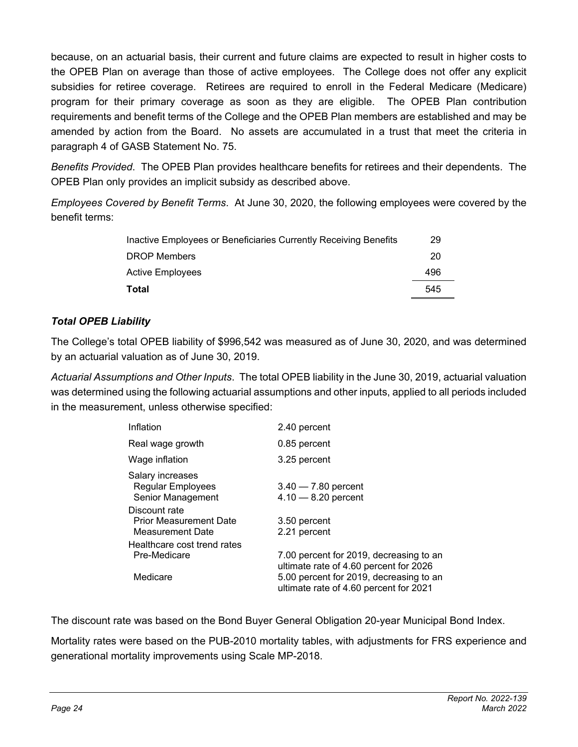because, on an actuarial basis, their current and future claims are expected to result in higher costs to the OPEB Plan on average than those of active employees. The College does not offer any explicit subsidies for retiree coverage. Retirees are required to enroll in the Federal Medicare (Medicare) program for their primary coverage as soon as they are eligible. The OPEB Plan contribution requirements and benefit terms of the College and the OPEB Plan members are established and may be amended by action from the Board. No assets are accumulated in a trust that meet the criteria in paragraph 4 of GASB Statement No. 75.

*Benefits Provided*. The OPEB Plan provides healthcare benefits for retirees and their dependents. The OPEB Plan only provides an implicit subsidy as described above.

*Employees Covered by Benefit Terms*. At June 30, 2020, the following employees were covered by the benefit terms:

| Inactive Employees or Beneficiaries Currently Receiving Benefits | 29  |
|------------------------------------------------------------------|-----|
| <b>DROP Members</b>                                              | 20  |
| <b>Active Employees</b>                                          | 496 |
| Total                                                            | 545 |

### *Total OPEB Liability*

The College's total OPEB liability of \$996,542 was measured as of June 30, 2020, and was determined by an actuarial valuation as of June 30, 2019.

*Actuarial Assumptions and Other Inputs*. The total OPEB liability in the June 30, 2019, actuarial valuation was determined using the following actuarial assumptions and other inputs, applied to all periods included in the measurement, unless otherwise specified:

| Inflation                                                          | 2.40 percent                                                                      |
|--------------------------------------------------------------------|-----------------------------------------------------------------------------------|
| Real wage growth                                                   | 0.85 percent                                                                      |
| Wage inflation                                                     | 3.25 percent                                                                      |
| Salary increases<br><b>Regular Employees</b><br>Senior Management  | $3.40 - 7.80$ percent<br>$4.10 - 8.20$ percent                                    |
| Discount rate<br><b>Prior Measurement Date</b><br>Measurement Date | 3.50 percent<br>2.21 percent                                                      |
| Healthcare cost trend rates                                        |                                                                                   |
| Pre-Medicare                                                       | 7.00 percent for 2019, decreasing to an<br>ultimate rate of 4.60 percent for 2026 |
| Medicare                                                           | 5.00 percent for 2019, decreasing to an<br>ultimate rate of 4.60 percent for 2021 |

The discount rate was based on the Bond Buyer General Obligation 20-year Municipal Bond Index.

Mortality rates were based on the PUB-2010 mortality tables, with adjustments for FRS experience and generational mortality improvements using Scale MP-2018.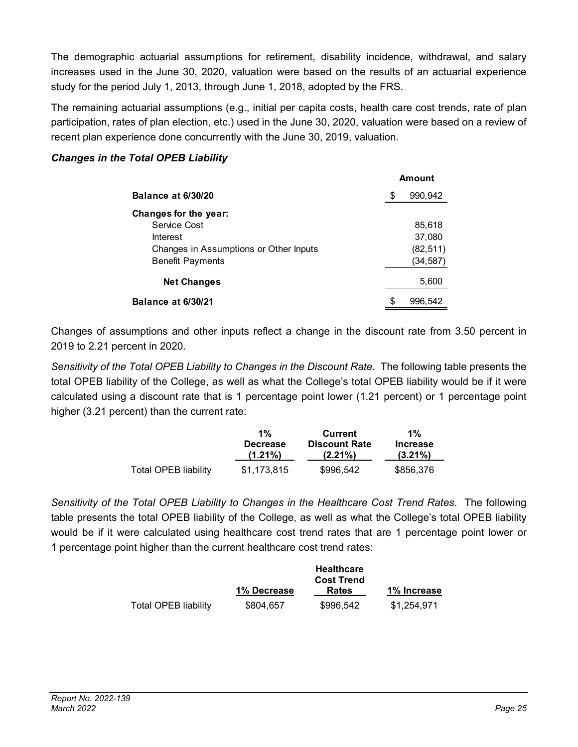The demographic actuarial assumptions for retirement, disability incidence, withdrawal, and salary increases used in the June 30, 2020, valuation were based on the results of an actuarial experience study for the period July 1, 2013, through June 1, 2018, adopted by the FRS.

The remaining actuarial assumptions (e.g., initial per capita costs, health care cost trends, rate of plan participation, rates of plan election, etc.) used in the June 30, 2020, valuation were based on a review of recent plan experience done concurrently with the June 30, 2019, valuation.

#### *Changes in the Total OPEB Liability*

|                                        |   | <b>Amount</b> |  |  |  |
|----------------------------------------|---|---------------|--|--|--|
| Balance at 6/30/20                     |   | 990,942       |  |  |  |
| Changes for the year:                  |   |               |  |  |  |
| Service Cost                           |   | 85,618        |  |  |  |
| Interest                               |   | 37,080        |  |  |  |
| Changes in Assumptions or Other Inputs |   | (82, 511)     |  |  |  |
| <b>Benefit Payments</b>                |   | (34, 587)     |  |  |  |
| <b>Net Changes</b>                     |   | 5,600         |  |  |  |
| Balance at 6/30/21                     | S | 996.542       |  |  |  |

Changes of assumptions and other inputs reflect a change in the discount rate from 3.50 percent in 2019 to 2.21 percent in 2020.

*Sensitivity of the Total OPEB Liability to Changes in the Discount Rate*. The following table presents the total OPEB liability of the College, as well as what the College's total OPEB liability would be if it were calculated using a discount rate that is 1 percentage point lower (1.21 percent) or 1 percentage point higher (3.21 percent) than the current rate:

|                      | $1\%$<br>Current              |                                    | 1%                            |  |  |
|----------------------|-------------------------------|------------------------------------|-------------------------------|--|--|
|                      | <b>Decrease</b><br>$(1.21\%)$ | <b>Discount Rate</b><br>$(2.21\%)$ | <b>Increase</b><br>$(3.21\%)$ |  |  |
| Total OPEB liability | \$1,173,815                   | \$996.542                          | \$856,376                     |  |  |

*Sensitivity of the Total OPEB Liability to Changes in the Healthcare Cost Trend Rates*. The following table presents the total OPEB liability of the College, as well as what the College's total OPEB liability would be if it were calculated using healthcare cost trend rates that are 1 percentage point lower or 1 percentage point higher than the current healthcare cost trend rates:

|                      |             | <b>Healthcare</b><br><b>Cost Trend</b> |             |
|----------------------|-------------|----------------------------------------|-------------|
|                      | 1% Decrease | <b>Rates</b>                           | 1% Increase |
| Total OPEB liability | \$804.657   | \$996.542                              | \$1.254.971 |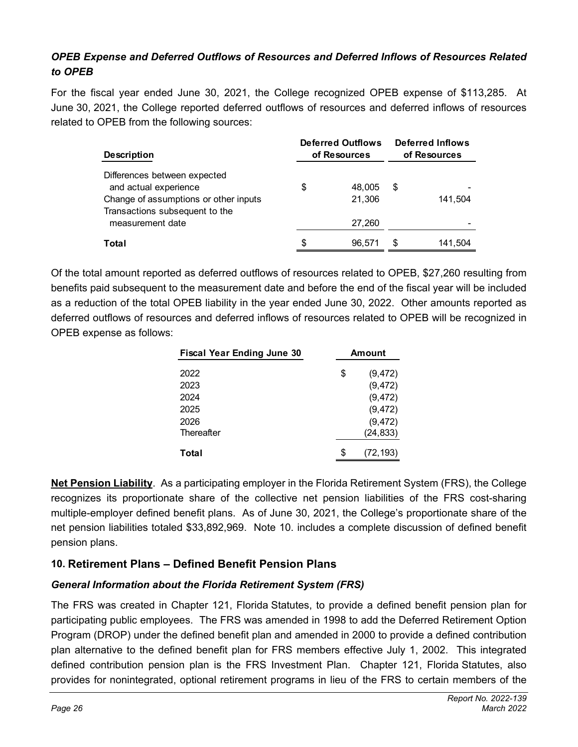### *OPEB Expense and Deferred Outflows of Resources and Deferred Inflows of Resources Related to OPEB*

For the fiscal year ended June 30, 2021, the College recognized OPEB expense of \$113,285. At June 30, 2021, the College reported deferred outflows of resources and deferred inflows of resources related to OPEB from the following sources:

| <b>Description</b>                                                      | <b>Deferred Outflows</b><br>of Resources | <b>Deferred Inflows</b><br>of Resources |         |  |
|-------------------------------------------------------------------------|------------------------------------------|-----------------------------------------|---------|--|
| Differences between expected<br>and actual experience                   | \$<br>48.005                             | S                                       |         |  |
| Change of assumptions or other inputs<br>Transactions subsequent to the | 21,306                                   |                                         | 141.504 |  |
| measurement date                                                        | 27,260                                   |                                         |         |  |
| Total                                                                   | \$<br>96.571                             | S                                       | 141.504 |  |

Of the total amount reported as deferred outflows of resources related to OPEB, \$27,260 resulting from benefits paid subsequent to the measurement date and before the end of the fiscal year will be included as a reduction of the total OPEB liability in the year ended June 30, 2022. Other amounts reported as deferred outflows of resources and deferred inflows of resources related to OPEB will be recognized in OPEB expense as follows:

| <b>Fiscal Year Ending June 30</b> |    | Amount    |  |  |
|-----------------------------------|----|-----------|--|--|
| 2022                              | \$ | (9, 472)  |  |  |
| 2023                              |    | (9, 472)  |  |  |
| 2024                              |    | (9, 472)  |  |  |
| 2025                              |    | (9, 472)  |  |  |
| 2026                              |    | (9, 472)  |  |  |
| Thereafter                        |    | (24, 833) |  |  |
| Total                             |    | (72, 193) |  |  |

**Net Pension Liability**. As a participating employer in the Florida Retirement System (FRS), the College recognizes its proportionate share of the collective net pension liabilities of the FRS cost-sharing multiple-employer defined benefit plans. As of June 30, 2021, the College's proportionate share of the net pension liabilities totaled \$33,892,969. Note 10. includes a complete discussion of defined benefit pension plans.

### **10. Retirement Plans – Defined Benefit Pension Plans**

### *General Information about the Florida Retirement System (FRS)*

The FRS was created in Chapter 121, Florida Statutes, to provide a defined benefit pension plan for participating public employees. The FRS was amended in 1998 to add the Deferred Retirement Option Program (DROP) under the defined benefit plan and amended in 2000 to provide a defined contribution plan alternative to the defined benefit plan for FRS members effective July 1, 2002. This integrated defined contribution pension plan is the FRS Investment Plan. Chapter 121, Florida Statutes, also provides for nonintegrated, optional retirement programs in lieu of the FRS to certain members of the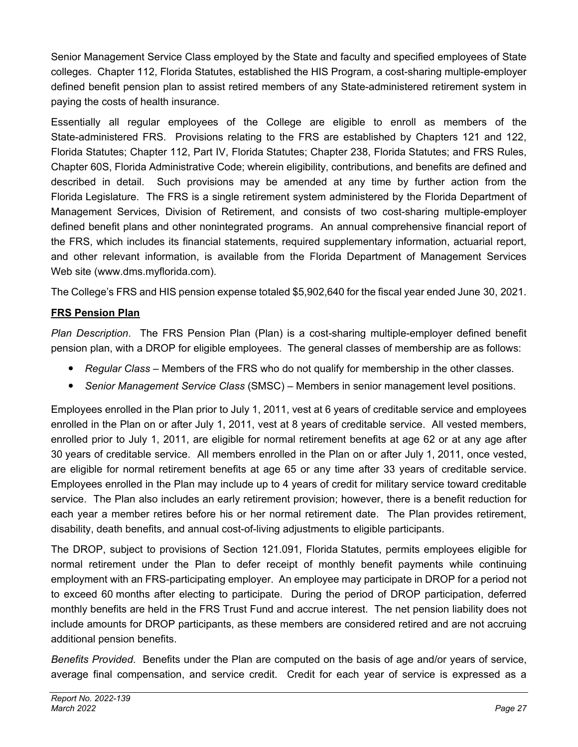Senior Management Service Class employed by the State and faculty and specified employees of State colleges. Chapter 112, Florida Statutes, established the HIS Program, a cost-sharing multiple-employer defined benefit pension plan to assist retired members of any State-administered retirement system in paying the costs of health insurance.

Essentially all regular employees of the College are eligible to enroll as members of the State-administered FRS. Provisions relating to the FRS are established by Chapters 121 and 122, Florida Statutes; Chapter 112, Part IV, Florida Statutes; Chapter 238, Florida Statutes; and FRS Rules, Chapter 60S, Florida Administrative Code; wherein eligibility, contributions, and benefits are defined and described in detail. Such provisions may be amended at any time by further action from the Florida Legislature. The FRS is a single retirement system administered by the Florida Department of Management Services, Division of Retirement, and consists of two cost-sharing multiple-employer defined benefit plans and other nonintegrated programs. An annual comprehensive financial report of the FRS, which includes its financial statements, required supplementary information, actuarial report, and other relevant information, is available from the Florida Department of Management Services Web site (www.dms.myflorida.com).

The College's FRS and HIS pension expense totaled \$5,902,640 for the fiscal year ended June 30, 2021.

### **FRS Pension Plan**

*Plan Description*. The FRS Pension Plan (Plan) is a cost-sharing multiple-employer defined benefit pension plan, with a DROP for eligible employees. The general classes of membership are as follows:

- *Regular Class* Members of the FRS who do not qualify for membership in the other classes.
- *Senior Management Service Class* (SMSC) Members in senior management level positions.

Employees enrolled in the Plan prior to July 1, 2011, vest at 6 years of creditable service and employees enrolled in the Plan on or after July 1, 2011, vest at 8 years of creditable service. All vested members, enrolled prior to July 1, 2011, are eligible for normal retirement benefits at age 62 or at any age after 30 years of creditable service. All members enrolled in the Plan on or after July 1, 2011, once vested, are eligible for normal retirement benefits at age 65 or any time after 33 years of creditable service. Employees enrolled in the Plan may include up to 4 years of credit for military service toward creditable service. The Plan also includes an early retirement provision; however, there is a benefit reduction for each year a member retires before his or her normal retirement date. The Plan provides retirement, disability, death benefits, and annual cost-of-living adjustments to eligible participants.

The DROP, subject to provisions of Section 121.091, Florida Statutes, permits employees eligible for normal retirement under the Plan to defer receipt of monthly benefit payments while continuing employment with an FRS-participating employer. An employee may participate in DROP for a period not to exceed 60 months after electing to participate. During the period of DROP participation, deferred monthly benefits are held in the FRS Trust Fund and accrue interest. The net pension liability does not include amounts for DROP participants, as these members are considered retired and are not accruing additional pension benefits.

*Benefits Provided*. Benefits under the Plan are computed on the basis of age and/or years of service, average final compensation, and service credit. Credit for each year of service is expressed as a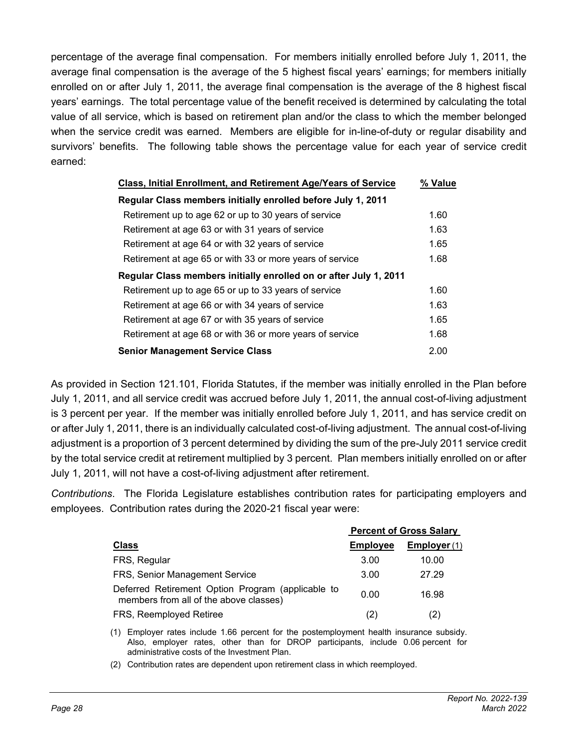percentage of the average final compensation. For members initially enrolled before July 1, 2011, the average final compensation is the average of the 5 highest fiscal years' earnings; for members initially enrolled on or after July 1, 2011, the average final compensation is the average of the 8 highest fiscal years' earnings. The total percentage value of the benefit received is determined by calculating the total value of all service, which is based on retirement plan and/or the class to which the member belonged when the service credit was earned. Members are eligible for in-line-of-duty or regular disability and survivors' benefits. The following table shows the percentage value for each year of service credit earned:

| <b>Class, Initial Enrollment, and Retirement Age/Years of Service</b> | % Value |
|-----------------------------------------------------------------------|---------|
| Regular Class members initially enrolled before July 1, 2011          |         |
| Retirement up to age 62 or up to 30 years of service                  | 1.60    |
| Retirement at age 63 or with 31 years of service                      | 1.63    |
| Retirement at age 64 or with 32 years of service                      | 1.65    |
| Retirement at age 65 or with 33 or more years of service              | 1.68    |
| Regular Class members initially enrolled on or after July 1, 2011     |         |
| Retirement up to age 65 or up to 33 years of service                  | 1.60    |
| Retirement at age 66 or with 34 years of service                      | 1.63    |
| Retirement at age 67 or with 35 years of service                      | 1.65    |
| Retirement at age 68 or with 36 or more years of service              | 1.68    |
| <b>Senior Management Service Class</b>                                | 2.00    |

As provided in Section 121.101, Florida Statutes, if the member was initially enrolled in the Plan before July 1, 2011, and all service credit was accrued before July 1, 2011, the annual cost-of-living adjustment is 3 percent per year. If the member was initially enrolled before July 1, 2011, and has service credit on or after July 1, 2011, there is an individually calculated cost-of-living adjustment. The annual cost-of-living adjustment is a proportion of 3 percent determined by dividing the sum of the pre-July 2011 service credit by the total service credit at retirement multiplied by 3 percent. Plan members initially enrolled on or after July 1, 2011, will not have a cost-of-living adjustment after retirement.

*Contributions*. The Florida Legislature establishes contribution rates for participating employers and employees. Contribution rates during the 2020-21 fiscal year were:

|                                                                                             | <b>Percent of Gross Salary</b> |                |  |
|---------------------------------------------------------------------------------------------|--------------------------------|----------------|--|
| <b>Class</b>                                                                                | <b>Employee</b>                | Employer $(1)$ |  |
| FRS, Regular                                                                                | 3.00                           | 10.00          |  |
| FRS, Senior Management Service                                                              | 3.00                           | 27.29          |  |
| Deferred Retirement Option Program (applicable to<br>members from all of the above classes) | 0.00                           | 16.98          |  |
| FRS, Reemployed Retiree                                                                     | (2)                            | (2)            |  |

(1) Employer rates include 1.66 percent for the postemployment health insurance subsidy. Also, employer rates, other than for DROP participants, include 0.06 percent for administrative costs of the Investment Plan.

(2) Contribution rates are dependent upon retirement class in which reemployed.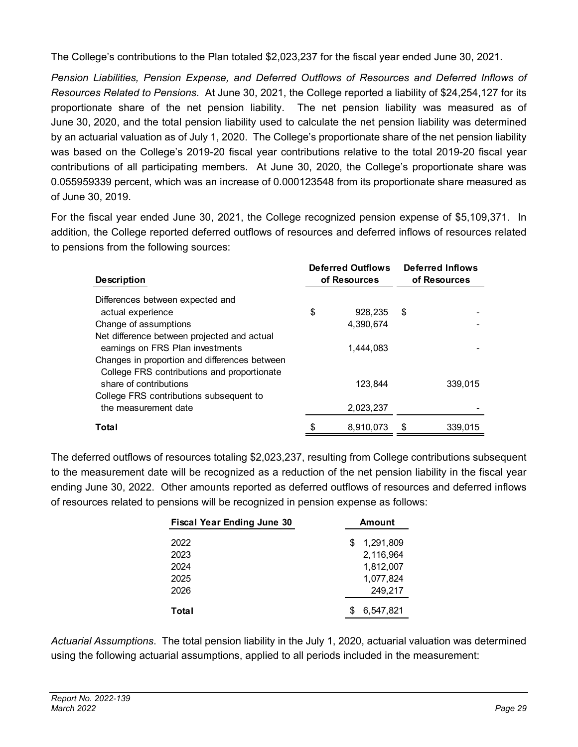The College's contributions to the Plan totaled \$2,023,237 for the fiscal year ended June 30, 2021.

*Pension Liabilities, Pension Expense, and Deferred Outflows of Resources and Deferred Inflows of Resources Related to Pensions*. At June 30, 2021, the College reported a liability of \$24,254,127 for its proportionate share of the net pension liability. The net pension liability was measured as of June 30, 2020, and the total pension liability used to calculate the net pension liability was determined by an actuarial valuation as of July 1, 2020. The College's proportionate share of the net pension liability was based on the College's 2019-20 fiscal year contributions relative to the total 2019-20 fiscal year contributions of all participating members. At June 30, 2020, the College's proportionate share was 0.055959339 percent, which was an increase of 0.000123548 from its proportionate share measured as of June 30, 2019.

For the fiscal year ended June 30, 2021, the College recognized pension expense of \$5,109,371. In addition, the College reported deferred outflows of resources and deferred inflows of resources related to pensions from the following sources:

| <b>Deferred Outflows</b><br><b>Description</b><br>of Resources |    | <b>Deferred Inflows</b><br>of Resources |   |         |
|----------------------------------------------------------------|----|-----------------------------------------|---|---------|
| Differences between expected and                               |    |                                         |   |         |
| actual experience                                              | \$ | 928,235                                 | S |         |
| Change of assumptions                                          |    | 4,390,674                               |   |         |
| Net difference between projected and actual                    |    |                                         |   |         |
| earnings on FRS Plan investments                               |    | 1.444.083                               |   |         |
| Changes in proportion and differences between                  |    |                                         |   |         |
| College FRS contributions and proportionate                    |    |                                         |   |         |
| share of contributions                                         |    | 123.844                                 |   | 339.015 |
| College FRS contributions subsequent to                        |    |                                         |   |         |
| the measurement date                                           |    | 2,023,237                               |   |         |
| Total                                                          | \$ | 8,910,073                               | S | 339,015 |

The deferred outflows of resources totaling \$2,023,237, resulting from College contributions subsequent to the measurement date will be recognized as a reduction of the net pension liability in the fiscal year ending June 30, 2022. Other amounts reported as deferred outflows of resources and deferred inflows of resources related to pensions will be recognized in pension expense as follows:

| <b>Fiscal Year Ending June 30</b> | <b>Amount</b>  |
|-----------------------------------|----------------|
| 2022                              | 1,291,809<br>S |
| 2023                              | 2,116,964      |
| 2024                              | 1,812,007      |
| 2025                              | 1,077,824      |
| 2026                              | 249,217        |
| Total                             | 6,547,821      |

*Actuarial Assumptions*. The total pension liability in the July 1, 2020, actuarial valuation was determined using the following actuarial assumptions, applied to all periods included in the measurement: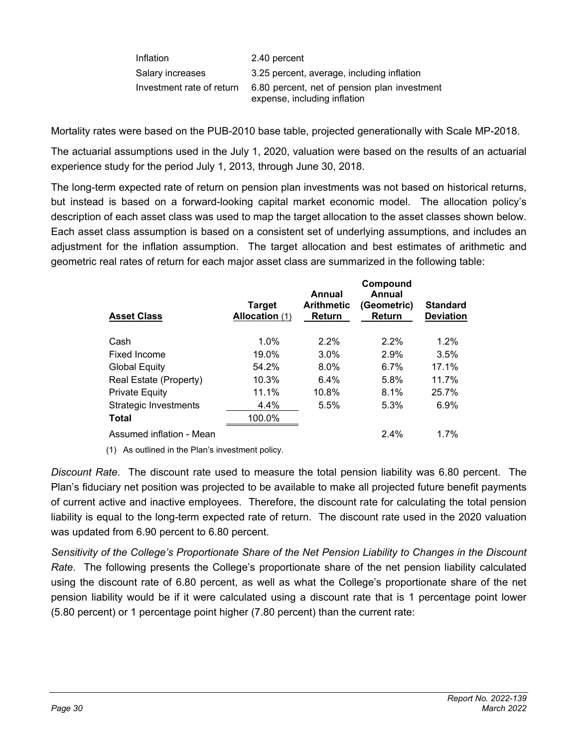| Inflation                 | 2.40 percent                                                                 |
|---------------------------|------------------------------------------------------------------------------|
| Salary increases          | 3.25 percent, average, including inflation                                   |
| Investment rate of return | 6.80 percent, net of pension plan investment<br>expense, including inflation |

Mortality rates were based on the PUB-2010 base table, projected generationally with Scale MP-2018.

The actuarial assumptions used in the July 1, 2020, valuation were based on the results of an actuarial experience study for the period July 1, 2013, through June 30, 2018.

The long-term expected rate of return on pension plan investments was not based on historical returns, but instead is based on a forward-looking capital market economic model. The allocation policy's description of each asset class was used to map the target allocation to the asset classes shown below. Each asset class assumption is based on a consistent set of underlying assumptions, and includes an adjustment for the inflation assumption. The target allocation and best estimates of arithmetic and geometric real rates of return for each major asset class are summarized in the following table:

| <b>Asset Class</b>           | <b>Target</b><br>Allocation (1) | Annual<br><b>Arithmetic</b><br>Return | Compound<br>Annual<br>(Geometric)<br>Return | <b>Standard</b><br><b>Deviation</b> |
|------------------------------|---------------------------------|---------------------------------------|---------------------------------------------|-------------------------------------|
| Cash                         | 1.0%                            | 2.2%                                  | 2.2%                                        | 1.2%                                |
| Fixed Income                 | 19.0%                           | $3.0\%$                               | 2.9%                                        | 3.5%                                |
| <b>Global Equity</b>         | 54.2%                           | 8.0%                                  | 6.7%                                        | 17.1%                               |
| Real Estate (Property)       | 10.3%                           | 6.4%                                  | 5.8%                                        | 11.7%                               |
| <b>Private Equity</b>        | 11.1%                           | 10.8%                                 | 8.1%                                        | 25.7%                               |
| <b>Strategic Investments</b> | 4.4%                            | 5.5%                                  | 5.3%                                        | 6.9%                                |
| <b>Total</b>                 | 100.0%                          |                                       |                                             |                                     |
| Assumed inflation - Mean     |                                 |                                       | 2.4%                                        | 1.7%                                |
|                              |                                 |                                       |                                             |                                     |

(1) As outlined in the Plan's investment policy.

*Discount Rate*. The discount rate used to measure the total pension liability was 6.80 percent. The Plan's fiduciary net position was projected to be available to make all projected future benefit payments of current active and inactive employees. Therefore, the discount rate for calculating the total pension liability is equal to the long-term expected rate of return. The discount rate used in the 2020 valuation was updated from 6.90 percent to 6.80 percent.

*Sensitivity of the College's Proportionate Share of the Net Pension Liability to Changes in the Discount Rate*. The following presents the College's proportionate share of the net pension liability calculated using the discount rate of 6.80 percent, as well as what the College's proportionate share of the net pension liability would be if it were calculated using a discount rate that is 1 percentage point lower (5.80 percent) or 1 percentage point higher (7.80 percent) than the current rate: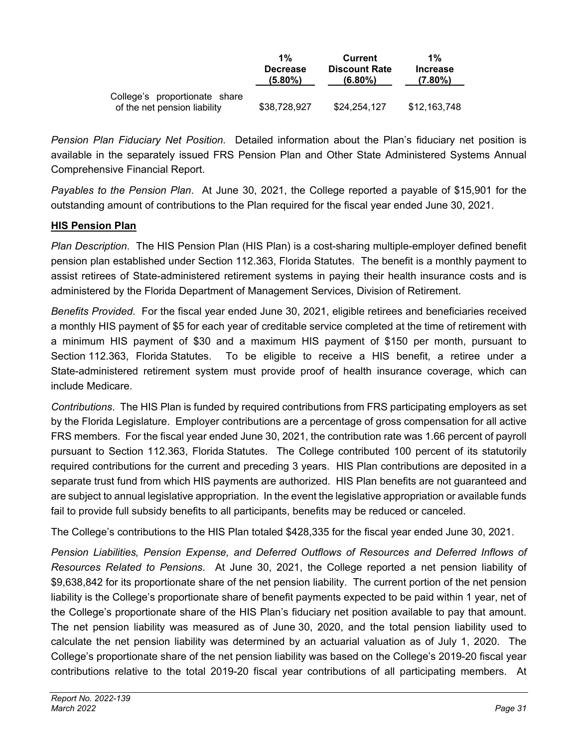|                                                               | 1%              | <b>Current</b>       | $1\%$           |
|---------------------------------------------------------------|-----------------|----------------------|-----------------|
|                                                               | <b>Decrease</b> | <b>Discount Rate</b> | <b>Increase</b> |
|                                                               | $(5.80\%)$      | $(6.80\%)$           | $(7.80\%)$      |
| College's proportionate share<br>of the net pension liability | \$38,728,927    | \$24,254,127         | \$12,163,748    |

*Pension Plan Fiduciary Net Position*. Detailed information about the Plan's fiduciary net position is available in the separately issued FRS Pension Plan and Other State Administered Systems Annual Comprehensive Financial Report.

*Payables to the Pension Plan*. At June 30, 2021, the College reported a payable of \$15,901 for the outstanding amount of contributions to the Plan required for the fiscal year ended June 30, 2021.

### **HIS Pension Plan**

*Plan Description*. The HIS Pension Plan (HIS Plan) is a cost-sharing multiple-employer defined benefit pension plan established under Section 112.363, Florida Statutes. The benefit is a monthly payment to assist retirees of State-administered retirement systems in paying their health insurance costs and is administered by the Florida Department of Management Services, Division of Retirement.

*Benefits Provided*. For the fiscal year ended June 30, 2021, eligible retirees and beneficiaries received a monthly HIS payment of \$5 for each year of creditable service completed at the time of retirement with a minimum HIS payment of \$30 and a maximum HIS payment of \$150 per month, pursuant to Section 112.363, Florida Statutes. To be eligible to receive a HIS benefit, a retiree under a State-administered retirement system must provide proof of health insurance coverage, which can include Medicare.

*Contributions*. The HIS Plan is funded by required contributions from FRS participating employers as set by the Florida Legislature. Employer contributions are a percentage of gross compensation for all active FRS members. For the fiscal year ended June 30, 2021, the contribution rate was 1.66 percent of payroll pursuant to Section 112.363, Florida Statutes. The College contributed 100 percent of its statutorily required contributions for the current and preceding 3 years. HIS Plan contributions are deposited in a separate trust fund from which HIS payments are authorized. HIS Plan benefits are not guaranteed and are subject to annual legislative appropriation. In the event the legislative appropriation or available funds fail to provide full subsidy benefits to all participants, benefits may be reduced or canceled.

The College's contributions to the HIS Plan totaled \$428,335 for the fiscal year ended June 30, 2021.

*Pension Liabilities, Pension Expense, and Deferred Outflows of Resources and Deferred Inflows of Resources Related to Pensions*. At June 30, 2021, the College reported a net pension liability of \$9,638,842 for its proportionate share of the net pension liability. The current portion of the net pension liability is the College's proportionate share of benefit payments expected to be paid within 1 year, net of the College's proportionate share of the HIS Plan's fiduciary net position available to pay that amount. The net pension liability was measured as of June 30, 2020, and the total pension liability used to calculate the net pension liability was determined by an actuarial valuation as of July 1, 2020. The College's proportionate share of the net pension liability was based on the College's 2019-20 fiscal year contributions relative to the total 2019-20 fiscal year contributions of all participating members. At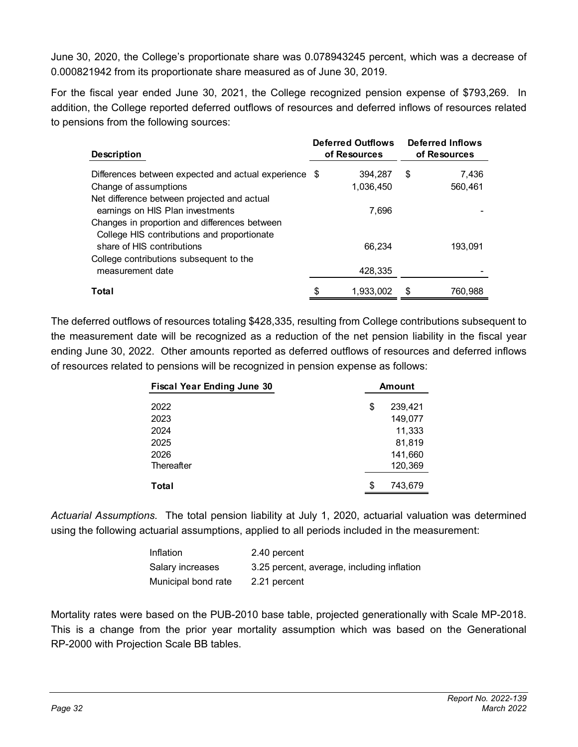June 30, 2020, the College's proportionate share was 0.078943245 percent, which was a decrease of 0.000821942 from its proportionate share measured as of June 30, 2019.

For the fiscal year ended June 30, 2021, the College recognized pension expense of \$793,269. In addition, the College reported deferred outflows of resources and deferred inflows of resources related to pensions from the following sources:

| <b>Description</b>                                                                           |    | <b>Deferred Outflows</b><br>of Resources |   | Deferred Inflows<br>of Resources |
|----------------------------------------------------------------------------------------------|----|------------------------------------------|---|----------------------------------|
| Differences between expected and actual experience \$                                        |    | 394.287                                  | S | 7,436                            |
| Change of assumptions                                                                        |    | 1,036,450                                |   | 560.461                          |
| Net difference between projected and actual                                                  |    |                                          |   |                                  |
| earnings on HIS Plan investments                                                             |    | 7.696                                    |   |                                  |
| Changes in proportion and differences between<br>College HIS contributions and proportionate |    |                                          |   |                                  |
| share of HIS contributions                                                                   |    | 66.234                                   |   | 193.091                          |
| College contributions subsequent to the                                                      |    |                                          |   |                                  |
| measurement date                                                                             |    | 428,335                                  |   |                                  |
| Total                                                                                        | ß. | 1,933,002                                | S | 760.988                          |

The deferred outflows of resources totaling \$428,335, resulting from College contributions subsequent to the measurement date will be recognized as a reduction of the net pension liability in the fiscal year ending June 30, 2022. Other amounts reported as deferred outflows of resources and deferred inflows of resources related to pensions will be recognized in pension expense as follows:

| <b>Fiscal Year Ending June 30</b> | <b>Amount</b> |         |
|-----------------------------------|---------------|---------|
| 2022                              | \$            | 239,421 |
| 2023                              |               | 149,077 |
| 2024                              |               | 11,333  |
| 2025                              |               | 81,819  |
| 2026                              |               | 141,660 |
| Thereafter                        |               | 120,369 |
| Total                             | \$.           | 743,679 |

*Actuarial Assumptions.* The total pension liability at July 1, 2020, actuarial valuation was determined using the following actuarial assumptions, applied to all periods included in the measurement:

| Inflation           | 2.40 percent                               |
|---------------------|--------------------------------------------|
| Salary increases    | 3.25 percent, average, including inflation |
| Municipal bond rate | 2.21 percent                               |

Mortality rates were based on the PUB-2010 base table, projected generationally with Scale MP-2018. This is a change from the prior year mortality assumption which was based on the Generational RP-2000 with Projection Scale BB tables.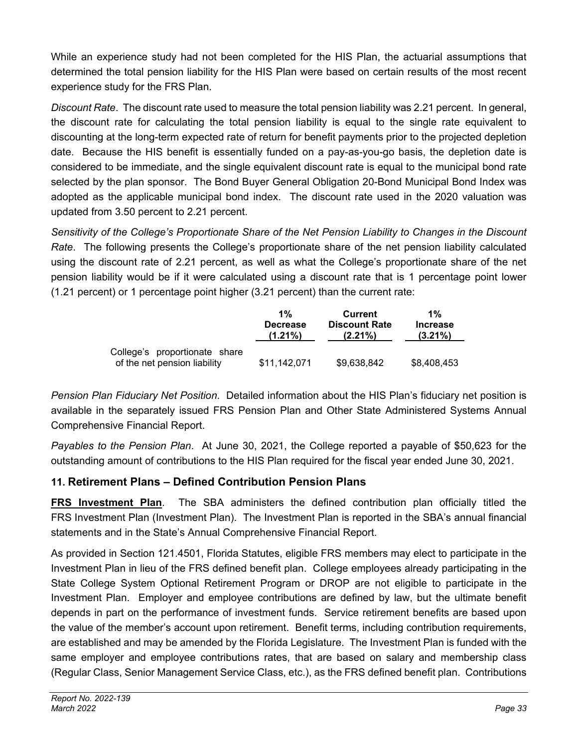While an experience study had not been completed for the HIS Plan, the actuarial assumptions that determined the total pension liability for the HIS Plan were based on certain results of the most recent experience study for the FRS Plan.

*Discount Rate*. The discount rate used to measure the total pension liability was 2.21 percent. In general, the discount rate for calculating the total pension liability is equal to the single rate equivalent to discounting at the long-term expected rate of return for benefit payments prior to the projected depletion date. Because the HIS benefit is essentially funded on a pay-as-you-go basis, the depletion date is considered to be immediate, and the single equivalent discount rate is equal to the municipal bond rate selected by the plan sponsor. The Bond Buyer General Obligation 20-Bond Municipal Bond Index was adopted as the applicable municipal bond index. The discount rate used in the 2020 valuation was updated from 3.50 percent to 2.21 percent.

*Sensitivity of the College's Proportionate Share of the Net Pension Liability to Changes in the Discount Rate*. The following presents the College's proportionate share of the net pension liability calculated using the discount rate of 2.21 percent, as well as what the College's proportionate share of the net pension liability would be if it were calculated using a discount rate that is 1 percentage point lower (1.21 percent) or 1 percentage point higher (3.21 percent) than the current rate:

|                                                               | 1%              | <b>Current</b>       | 1%              |
|---------------------------------------------------------------|-----------------|----------------------|-----------------|
|                                                               | <b>Decrease</b> | <b>Discount Rate</b> | <b>Increase</b> |
|                                                               | $(1.21\%)$      | $(2.21\%)$           | $(3.21\%)$      |
| College's proportionate share<br>of the net pension liability | \$11,142,071    | \$9,638,842          | \$8,408,453     |

*Pension Plan Fiduciary Net Position*. Detailed information about the HIS Plan's fiduciary net position is available in the separately issued FRS Pension Plan and Other State Administered Systems Annual Comprehensive Financial Report.

*Payables to the Pension Plan*. At June 30, 2021, the College reported a payable of \$50,623 for the outstanding amount of contributions to the HIS Plan required for the fiscal year ended June 30, 2021.

### **11. Retirement Plans – Defined Contribution Pension Plans**

**FRS Investment Plan**. The SBA administers the defined contribution plan officially titled the FRS Investment Plan (Investment Plan). The Investment Plan is reported in the SBA's annual financial statements and in the State's Annual Comprehensive Financial Report.

As provided in Section 121.4501, Florida Statutes, eligible FRS members may elect to participate in the Investment Plan in lieu of the FRS defined benefit plan. College employees already participating in the State College System Optional Retirement Program or DROP are not eligible to participate in the Investment Plan. Employer and employee contributions are defined by law, but the ultimate benefit depends in part on the performance of investment funds. Service retirement benefits are based upon the value of the member's account upon retirement. Benefit terms, including contribution requirements, are established and may be amended by the Florida Legislature. The Investment Plan is funded with the same employer and employee contributions rates, that are based on salary and membership class (Regular Class, Senior Management Service Class, etc.), as the FRS defined benefit plan. Contributions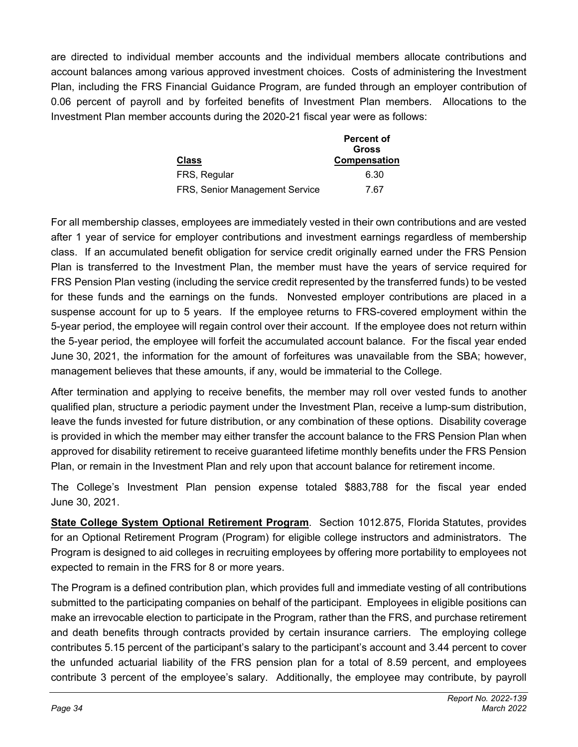are directed to individual member accounts and the individual members allocate contributions and account balances among various approved investment choices. Costs of administering the Investment Plan, including the FRS Financial Guidance Program, are funded through an employer contribution of 0.06 percent of payroll and by forfeited benefits of Investment Plan members. Allocations to the Investment Plan member accounts during the 2020-21 fiscal year were as follows:

|                                | <b>Percent of</b> |
|--------------------------------|-------------------|
|                                | <b>Gross</b>      |
| <b>Class</b>                   | Compensation      |
| FRS, Regular                   | 6.30              |
| FRS, Senior Management Service | 7 67              |

For all membership classes, employees are immediately vested in their own contributions and are vested after 1 year of service for employer contributions and investment earnings regardless of membership class. If an accumulated benefit obligation for service credit originally earned under the FRS Pension Plan is transferred to the Investment Plan, the member must have the years of service required for FRS Pension Plan vesting (including the service credit represented by the transferred funds) to be vested for these funds and the earnings on the funds. Nonvested employer contributions are placed in a suspense account for up to 5 years. If the employee returns to FRS-covered employment within the 5-year period, the employee will regain control over their account. If the employee does not return within the 5-year period, the employee will forfeit the accumulated account balance. For the fiscal year ended June 30, 2021, the information for the amount of forfeitures was unavailable from the SBA; however, management believes that these amounts, if any, would be immaterial to the College.

After termination and applying to receive benefits, the member may roll over vested funds to another qualified plan, structure a periodic payment under the Investment Plan, receive a lump-sum distribution, leave the funds invested for future distribution, or any combination of these options. Disability coverage is provided in which the member may either transfer the account balance to the FRS Pension Plan when approved for disability retirement to receive guaranteed lifetime monthly benefits under the FRS Pension Plan, or remain in the Investment Plan and rely upon that account balance for retirement income.

The College's Investment Plan pension expense totaled \$883,788 for the fiscal year ended June 30, 2021.

**State College System Optional Retirement Program**. Section 1012.875, Florida Statutes, provides for an Optional Retirement Program (Program) for eligible college instructors and administrators. The Program is designed to aid colleges in recruiting employees by offering more portability to employees not expected to remain in the FRS for 8 or more years.

The Program is a defined contribution plan, which provides full and immediate vesting of all contributions submitted to the participating companies on behalf of the participant. Employees in eligible positions can make an irrevocable election to participate in the Program, rather than the FRS, and purchase retirement and death benefits through contracts provided by certain insurance carriers. The employing college contributes 5.15 percent of the participant's salary to the participant's account and 3.44 percent to cover the unfunded actuarial liability of the FRS pension plan for a total of 8.59 percent, and employees contribute 3 percent of the employee's salary. Additionally, the employee may contribute, by payroll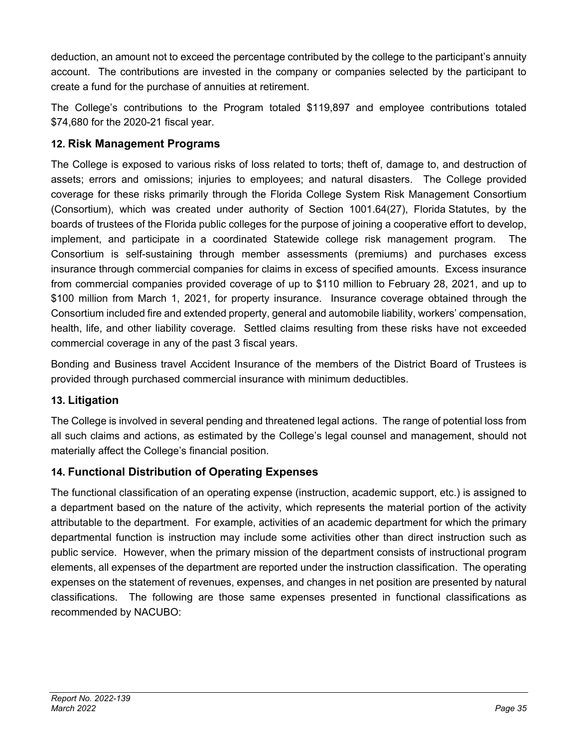deduction, an amount not to exceed the percentage contributed by the college to the participant's annuity account. The contributions are invested in the company or companies selected by the participant to create a fund for the purchase of annuities at retirement.

The College's contributions to the Program totaled \$119,897 and employee contributions totaled \$74,680 for the 2020-21 fiscal year.

### **12. Risk Management Programs**

The College is exposed to various risks of loss related to torts; theft of, damage to, and destruction of assets; errors and omissions; injuries to employees; and natural disasters. The College provided coverage for these risks primarily through the Florida College System Risk Management Consortium (Consortium), which was created under authority of Section 1001.64(27), Florida Statutes, by the boards of trustees of the Florida public colleges for the purpose of joining a cooperative effort to develop, implement, and participate in a coordinated Statewide college risk management program. The Consortium is self-sustaining through member assessments (premiums) and purchases excess insurance through commercial companies for claims in excess of specified amounts. Excess insurance from commercial companies provided coverage of up to \$110 million to February 28, 2021, and up to \$100 million from March 1, 2021, for property insurance. Insurance coverage obtained through the Consortium included fire and extended property, general and automobile liability, workers' compensation, health, life, and other liability coverage. Settled claims resulting from these risks have not exceeded commercial coverage in any of the past 3 fiscal years.

Bonding and Business travel Accident Insurance of the members of the District Board of Trustees is provided through purchased commercial insurance with minimum deductibles.

### **13. Litigation**

The College is involved in several pending and threatened legal actions. The range of potential loss from all such claims and actions, as estimated by the College's legal counsel and management, should not materially affect the College's financial position.

### **14. Functional Distribution of Operating Expenses**

The functional classification of an operating expense (instruction, academic support, etc.) is assigned to a department based on the nature of the activity, which represents the material portion of the activity attributable to the department. For example, activities of an academic department for which the primary departmental function is instruction may include some activities other than direct instruction such as public service. However, when the primary mission of the department consists of instructional program elements, all expenses of the department are reported under the instruction classification. The operating expenses on the statement of revenues, expenses, and changes in net position are presented by natural classifications. The following are those same expenses presented in functional classifications as recommended by NACUBO: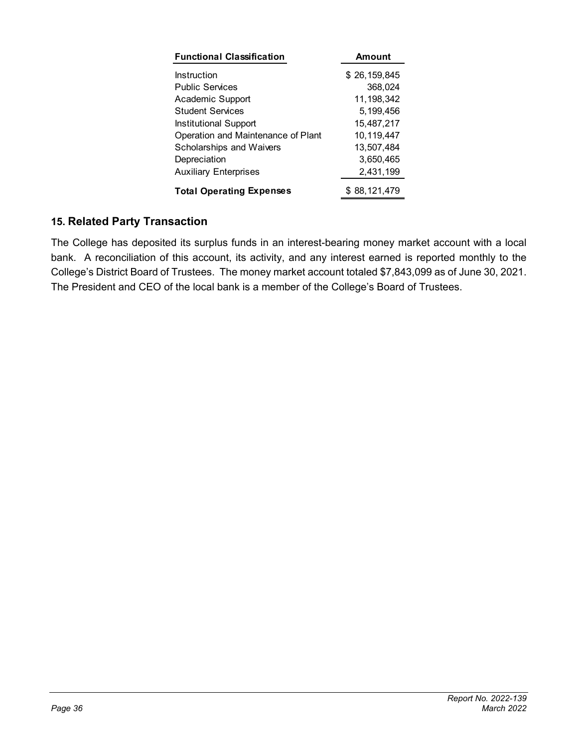| <b>Functional Classification</b>   | <b>Amount</b> |
|------------------------------------|---------------|
| Instruction                        | \$26,159,845  |
| <b>Public Services</b>             | 368,024       |
| Academic Support                   | 11,198,342    |
| <b>Student Services</b>            | 5,199,456     |
| Institutional Support              | 15,487,217    |
| Operation and Maintenance of Plant | 10,119,447    |
| Scholarships and Waivers           | 13,507,484    |
| Depreciation                       | 3,650,465     |
| <b>Auxiliary Enterprises</b>       | 2,431,199     |
| <b>Total Operating Expenses</b>    | \$88,121,479  |

### **15. Related Party Transaction**

The College has deposited its surplus funds in an interest-bearing money market account with a local bank. A reconciliation of this account, its activity, and any interest earned is reported monthly to the College's District Board of Trustees. The money market account totaled \$7,843,099 as of June 30, 2021. The President and CEO of the local bank is a member of the College's Board of Trustees.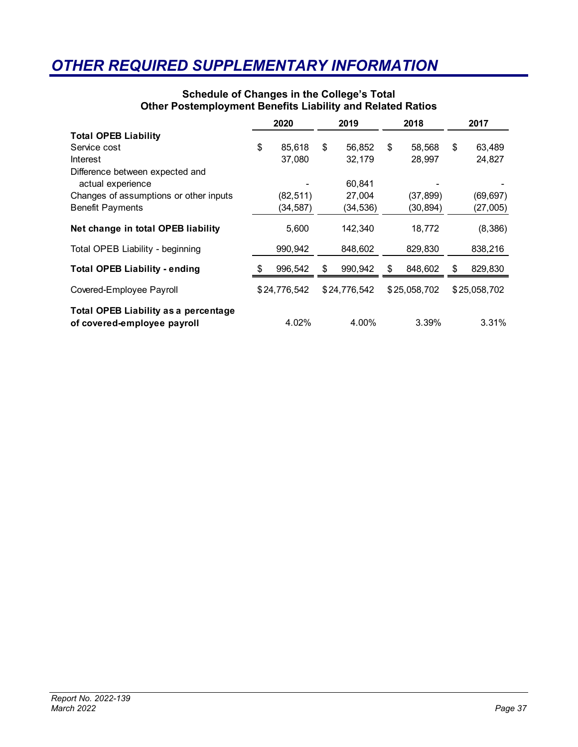## <span id="page-40-0"></span>*OTHER REQUIRED SUPPLEMENTARY INFORMATION*

|                                                                            | 2020 |              | 2019 | 2018         | 2017          |              |
|----------------------------------------------------------------------------|------|--------------|------|--------------|---------------|--------------|
| <b>Total OPEB Liability</b>                                                |      |              |      |              |               |              |
| Service cost                                                               | \$   | 85,618       | \$   | 56,852       | \$<br>58,568  | \$<br>63,489 |
| Interest                                                                   |      | 37,080       |      | 32,179       | 28,997        | 24,827       |
| Difference between expected and                                            |      |              |      |              |               |              |
| actual experience                                                          |      |              |      | 60,841       |               |              |
| Changes of assumptions or other inputs                                     |      | (82, 511)    |      | 27,004       | (37, 899)     | (69, 697)    |
| <b>Benefit Payments</b>                                                    |      | (34, 587)    |      | (34, 536)    | (30, 894)     | (27,005)     |
| Net change in total OPEB liability                                         |      | 5,600        |      | 142,340      | 18,772        | (8,386)      |
| Total OPEB Liability - beginning                                           |      | 990,942      |      | 848,602      | 829,830       | 838,216      |
| <b>Total OPEB Liability - ending</b>                                       | \$   | 996,542      | \$.  | 990,942      | \$<br>848,602 | 829,830      |
| Covered-Employee Payroll                                                   |      | \$24,776,542 |      | \$24,776,542 | \$25,058,702  | \$25,058,702 |
| <b>Total OPEB Liability as a percentage</b><br>of covered-employee payroll |      | 4.02%        |      | 4.00%        | 3.39%         | 3.31%        |

#### **Schedule of Changes in the College's Total Other Postemployment Benefits Liability and Related Ratios**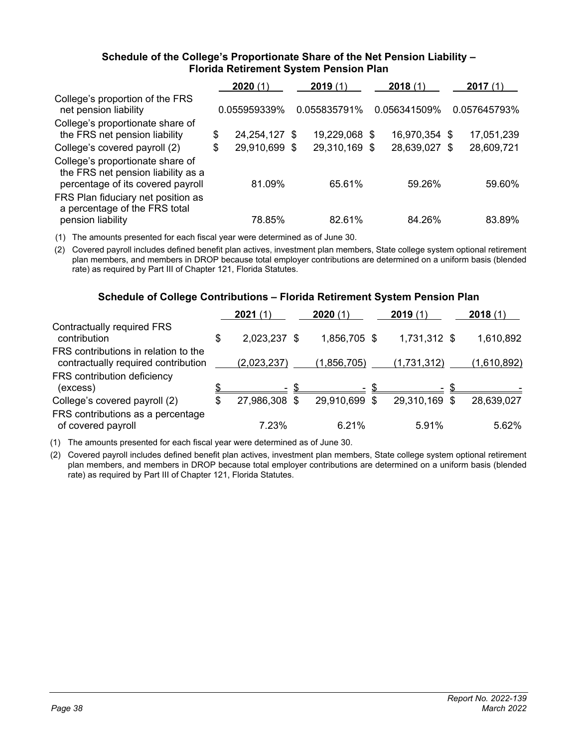#### **Schedule of the College's Proportionate Share of the Net Pension Liability – Florida Retirement System Pension Plan**

<span id="page-41-0"></span>

|                                                                                                             | 2020(1)             |      | 2019(1)       | 2018(1)       | 2017(1)      |
|-------------------------------------------------------------------------------------------------------------|---------------------|------|---------------|---------------|--------------|
| College's proportion of the FRS<br>net pension liability<br>College's proportionate share of                | 0.055959339%        |      | 0.055835791%  | 0.056341509%  | 0.057645793% |
| the FRS net pension liability                                                                               | \$<br>24, 254, 127  | - \$ | 19,229,068 \$ | 16,970,354 \$ | 17,051,239   |
| College's covered payroll (2)                                                                               | \$<br>29,910,699 \$ |      | 29,310,169 \$ | 28,639,027 \$ | 28,609,721   |
| College's proportionate share of<br>the FRS net pension liability as a<br>percentage of its covered payroll | 81.09%              |      | 65.61%        | 59.26%        | 59.60%       |
| FRS Plan fiduciary net position as<br>a percentage of the FRS total<br>pension liability                    | 78.85%              |      | 82.61%        | 84.26%        | 83.89%       |

(1) The amounts presented for each fiscal year were determined as of June 30.

(2) Covered payroll includes defined benefit plan actives, investment plan members, State college system optional retirement plan members, and members in DROP because total employer contributions are determined on a uniform basis (blended rate) as required by Part III of Chapter 121, Florida Statutes.

#### **Schedule of College Contributions – Florida Retirement System Pension Plan**

|                                                                             | 2021(1)             | 2020(1)                  | 2019(1)          |     | 2018(1)     |
|-----------------------------------------------------------------------------|---------------------|--------------------------|------------------|-----|-------------|
| Contractually required FRS<br>contribution                                  | \$<br>2,023,237 \$  | 1,856,705 \$             | 1,731,312 \$     |     | 1,610,892   |
| FRS contributions in relation to the<br>contractually required contribution | (2,023,237)         | (1,856,705)              | (1,731,312)      |     | (1,610,892) |
| FRS contribution deficiency<br>(excess)                                     |                     | $\overline{\phantom{0}}$ |                  |     |             |
| College's covered payroll (2)                                               | \$<br>27,986,308 \$ | 29,910,699               | \$<br>29,310,169 | -\$ | 28,639,027  |
| FRS contributions as a percentage<br>of covered payroll                     | 7.23%               | 6.21%                    | 5.91%            |     | 5.62%       |

(1) The amounts presented for each fiscal year were determined as of June 30.

(2) Covered payroll includes defined benefit plan actives, investment plan members, State college system optional retirement plan members, and members in DROP because total employer contributions are determined on a uniform basis (blended rate) as required by Part III of Chapter 121, Florida Statutes.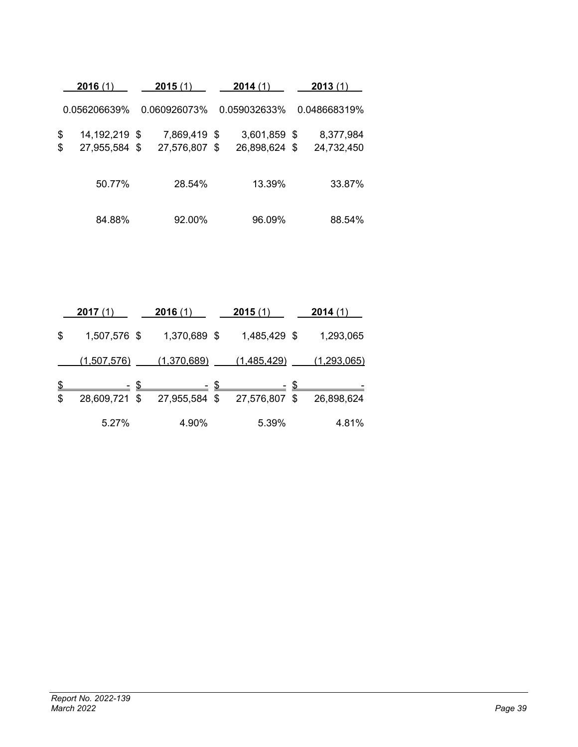|    | 2016(1)       |      | 2015(1)      |   | 2014(1)       | 2013 (1      |
|----|---------------|------|--------------|---|---------------|--------------|
|    | 0.056206639%  |      | 0.060926073% |   | 0.059032633%  | 0.048668319% |
| \$ | 14,192,219 \$ |      | 7,869,419 \$ |   | 3,601,859 \$  | 8,377,984    |
| \$ | 27,955,584    | - \$ | 27,576,807   | S | 26,898,624 \$ | 24,732,450   |
|    | 50.77%        |      | 28.54%       |   | 13.39%        | 33.87%       |
|    | 84.88%        |      | 92.00%       |   | 96.09%        | 88.54%       |

| 2017(1)             | 2016(1)       | 2015(1)       | 2014(1)     |
|---------------------|---------------|---------------|-------------|
| \$<br>1,507,576 \$  | 1,370,689 \$  | 1,485,429 \$  | 1,293,065   |
| (1,507,576)         | (1,370,689)   | (1,485,429)   | (1,293,065) |
|                     |               |               |             |
| \$<br>28,609,721 \$ | 27,955,584 \$ | 27,576,807 \$ | 26,898,624  |
| 5.27%               | 4.90%         | 5.39%         | 4.81%       |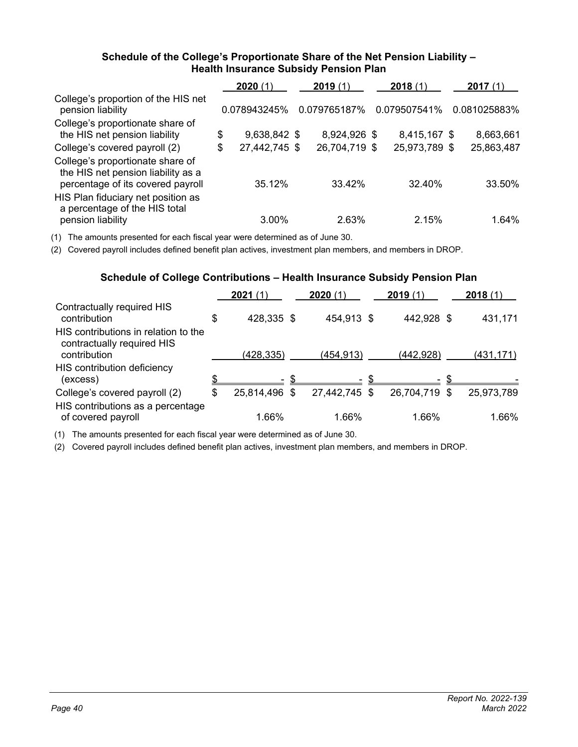#### **Schedule of the College's Proportionate Share of the Net Pension Liability – Health Insurance Subsidy Pension Plan**

<span id="page-43-0"></span>

|                                                                                                             | 2020(1)             | 2019(1)       | 2018(1)       | 2017 (1      |
|-------------------------------------------------------------------------------------------------------------|---------------------|---------------|---------------|--------------|
| College's proportion of the HIS net<br>pension liability<br>College's proportionate share of                | 0.078943245%        | 0.079765187%  | 0.079507541%  | 0.081025883% |
| the HIS net pension liability                                                                               | \$<br>9,638,842 \$  | 8,924,926 \$  | 8,415,167 \$  | 8,663,661    |
| College's covered payroll (2)                                                                               | \$<br>27,442,745 \$ | 26,704,719 \$ | 25,973,789 \$ | 25,863,487   |
| College's proportionate share of<br>the HIS net pension liability as a<br>percentage of its covered payroll | 35.12%              | 33.42%        | 32.40%        | 33.50%       |
| HIS Plan fiduciary net position as<br>a percentage of the HIS total<br>pension liability                    | 3.00%               | 2.63%         | 2.15%         | 1.64%        |

(1) The amounts presented for each fiscal year were determined as of June 30.

(2) Covered payroll includes defined benefit plan actives, investment plan members, and members in DROP.

#### **Schedule of College Contributions – Health Insurance Subsidy Pension Plan**

|                                                                    | 2021(1)          | 2020(1)             | 2019(1)    | 2018(1)          |
|--------------------------------------------------------------------|------------------|---------------------|------------|------------------|
| Contractually required HIS<br>contribution                         | \$<br>428,335 \$ | 454,913 \$          | 442,928 \$ | 431,171          |
| HIS contributions in relation to the<br>contractually required HIS |                  |                     |            |                  |
| contribution                                                       | (428, 335)       | (454, 913)          | (442, 928) | <u>(431,171)</u> |
| HIS contribution deficiency                                        |                  |                     |            |                  |
| (excess)                                                           |                  | \$                  |            |                  |
| College's covered payroll (2)                                      | \$<br>25,814,496 | \$<br>27,442,745 \$ | 26,704,719 | \$<br>25,973,789 |
| HIS contributions as a percentage<br>of covered payroll            | 1.66%            | 1.66%               | 1.66%      | 1.66%            |

(1) The amounts presented for each fiscal year were determined as of June 30.

(2) Covered payroll includes defined benefit plan actives, investment plan members, and members in DROP.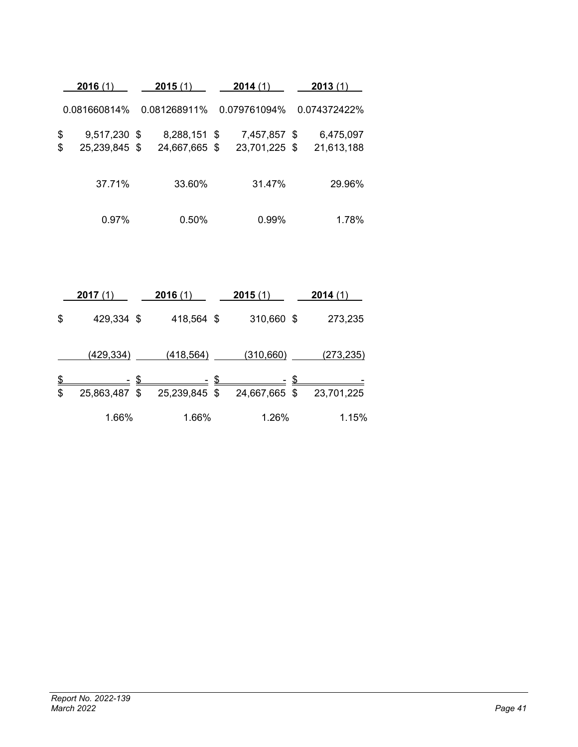|    | 2016(1)       | 2015(1)       | 2014(1)       | 2013 (1 |              |  |  |  |
|----|---------------|---------------|---------------|---------|--------------|--|--|--|
|    | 0.081660814%  | 0.081268911%  | 0.079761094%  |         | 0.074372422% |  |  |  |
| \$ | 9,517,230 \$  | 8,288,151 \$  | 7,457,857 \$  |         | 6,475,097    |  |  |  |
| \$ | 25,239,845 \$ | 24,667,665 \$ | 23,701,225 \$ |         | 21,613,188   |  |  |  |
|    | 37.71%        | 33.60%        | 31.47%        |         | 29.96%       |  |  |  |
|    | 0.97%         | 0.50%         | 0.99%         |         | 1.78%        |  |  |  |

| 2017(1)             |      | 2016(1)       |      | 2015(1)       | 2014(1)    |
|---------------------|------|---------------|------|---------------|------------|
| \$<br>429,334 \$    |      | 418,564 \$    |      | 310,660 \$    | 273,235    |
| (429, 334)          |      | (418, 564)    |      | (310, 660)    | (273,235)  |
|                     | - \$ |               | - \$ |               |            |
| \$<br>25,863,487 \$ |      | 25,239,845 \$ |      | 24,667,665 \$ | 23,701,225 |
| 1.66%               |      | 1.66%         |      | 1.26%         | 1.15%      |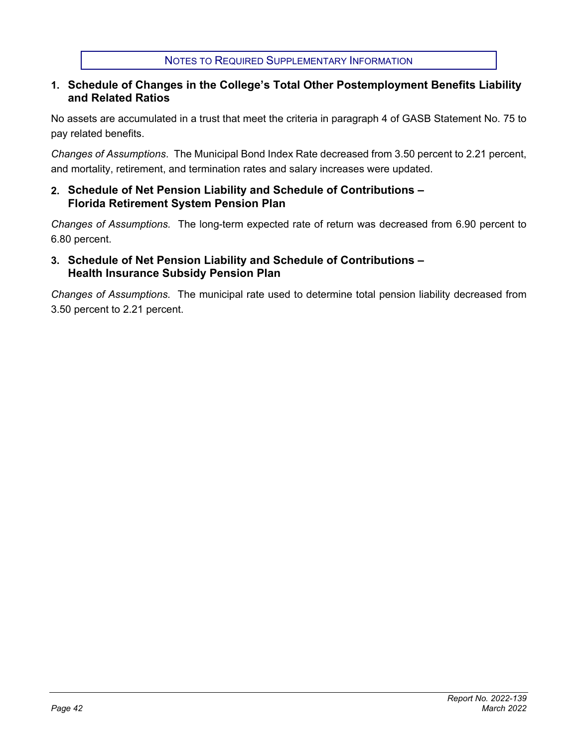### <span id="page-45-0"></span>**1. Schedule of Changes in the College's Total Other Postemployment Benefits Liability and Related Ratios**

No assets are accumulated in a trust that meet the criteria in paragraph 4 of GASB Statement No. 75 to pay related benefits.

*Changes of Assumptions*. The Municipal Bond Index Rate decreased from 3.50 percent to 2.21 percent, and mortality, retirement, and termination rates and salary increases were updated.

#### **2. Schedule of Net Pension Liability and Schedule of Contributions – Florida Retirement System Pension Plan**

*Changes of Assumptions.* The long-term expected rate of return was decreased from 6.90 percent to 6.80 percent.

### **3. Schedule of Net Pension Liability and Schedule of Contributions – Health Insurance Subsidy Pension Plan**

*Changes of Assumptions.* The municipal rate used to determine total pension liability decreased from 3.50 percent to 2.21 percent.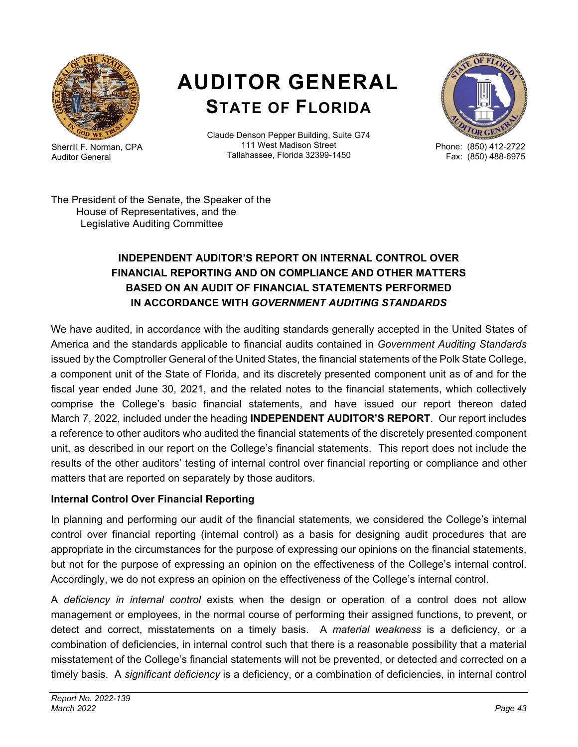<span id="page-46-0"></span>

Sherrill F. Norman, CPA Auditor General

# **AUDITOR GENERAL STATE OF FLORIDA**

Claude Denson Pepper Building, Suite G74 111 West Madison Street Tallahassee, Florida 32399-1450



Phone: (850) 412-2722 Fax: (850) 488-6975

The President of the Senate, the Speaker of the House of Representatives, and the Legislative Auditing Committee

### **INDEPENDENT AUDITOR'S REPORT ON INTERNAL CONTROL OVER FINANCIAL REPORTING AND ON COMPLIANCE AND OTHER MATTERS BASED ON AN AUDIT OF FINANCIAL STATEMENTS PERFORMED IN ACCORDANCE WITH** *GOVERNMENT AUDITING STANDARDS*

We have audited, in accordance with the auditing standards generally accepted in the United States of America and the standards applicable to financial audits contained in *Government Auditing Standards* issued by the Comptroller General of the United States, the financial statements of the Polk State College, a component unit of the State of Florida, and its discretely presented component unit as of and for the fiscal year ended June 30, 2021, and the related notes to the financial statements, which collectively comprise the College's basic financial statements, and have issued our report thereon dated March 7, 2022, included under the heading **INDEPENDENT AUDITOR'S REPORT**. Our report includes a reference to other auditors who audited the financial statements of the discretely presented component unit, as described in our report on the College's financial statements. This report does not include the results of the other auditors' testing of internal control over financial reporting or compliance and other matters that are reported on separately by those auditors.

### **Internal Control Over Financial Reporting**

In planning and performing our audit of the financial statements, we considered the College's internal control over financial reporting (internal control) as a basis for designing audit procedures that are appropriate in the circumstances for the purpose of expressing our opinions on the financial statements, but not for the purpose of expressing an opinion on the effectiveness of the College's internal control. Accordingly, we do not express an opinion on the effectiveness of the College's internal control.

A *deficiency in internal control* exists when the design or operation of a control does not allow management or employees, in the normal course of performing their assigned functions, to prevent, or detect and correct, misstatements on a timely basis. A *material weakness* is a deficiency, or a combination of deficiencies, in internal control such that there is a reasonable possibility that a material misstatement of the College's financial statements will not be prevented, or detected and corrected on a timely basis. A *significant deficiency* is a deficiency, or a combination of deficiencies, in internal control